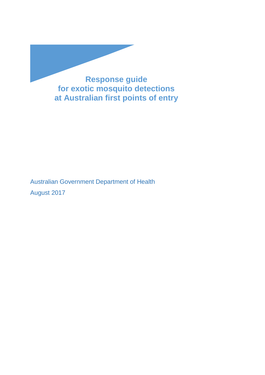

Australian Government Department of Health August 2017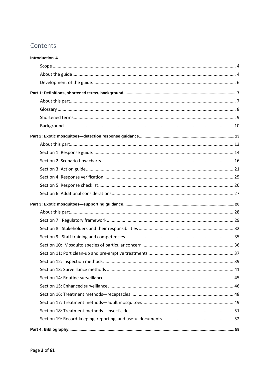### Contents

| Introduction 4 |  |
|----------------|--|
|                |  |
|                |  |
|                |  |
|                |  |
|                |  |
|                |  |
|                |  |
|                |  |
|                |  |
|                |  |
|                |  |
|                |  |
|                |  |
|                |  |
|                |  |
|                |  |
|                |  |
|                |  |
|                |  |
|                |  |
|                |  |
|                |  |
|                |  |
|                |  |
|                |  |
|                |  |
|                |  |
|                |  |
|                |  |
|                |  |
|                |  |
|                |  |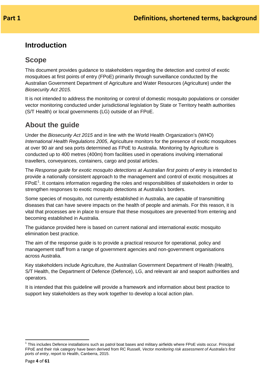### <span id="page-3-0"></span>**Introduction**

### <span id="page-3-1"></span>**Scope**

This document provides guidance to stakeholders regarding the detection and control of exotic mosquitoes at first points of entry (FPoE) primarily through surveillance conducted by the Australian Government Department of Agriculture and Water Resources (Agriculture) under the *Biosecurity Act 2015.* 

It is not intended to address the monitoring or control of domestic mosquito populations or consider vector monitoring conducted under jurisdictional legislation by State or Territory health authorities (S/T Health) or local governments (LG) outside of an FPoE.

### <span id="page-3-2"></span>**About the guide**

Under the *Biosecurity Act 2015* and in line with the World Health Organization's (WHO) *International Health Regulations 2005*, Agriculture monitors for the presence of exotic mosquitoes at over 90 air and sea ports determined as FPoE to Australia. Monitoring by Agriculture is conducted up to 400 metres (400m) from facilities used in operations involving international travellers, conveyances, containers, cargo and postal articles.

The *Response guide for exotic mosquito detections at Australian first points of entry* is intended to provide a nationally consistent approach to the management and control of exotic mosquitoes at  $\text{FPoE}^1$  $\text{FPoE}^1$ . It contains information regarding the roles and responsibilities of stakeholders in order to strengthen responses to exotic mosquito detections at Australia's borders.

Some species of mosquito, not currently established in Australia, are capable of transmitting diseases that can have severe impacts on the health of people and animals. For this reason, it is vital that processes are in place to ensure that these mosquitoes are prevented from entering and becoming established in Australia.

The guidance provided here is based on current national and international exotic mosquito elimination best practice.

The aim of the response guide is to provide a practical resource for operational, policy and management staff from a range of government agencies and non-government organisations across Australia.

Key stakeholders include Agriculture, the Australian Government Department of Health (Health), S/T Health, the Department of Defence (Defence), LG, and relevant air and seaport authorities and operators.

It is intended that this guideline will provide a framework and information about best practice to support key stakeholders as they work together to develop a local action plan.

<span id="page-3-3"></span> $1$  This includes Defence installations such as patrol boat bases and military airfields where FPoE visits occur. Principal FPoE and their risk category have been derived from RC Russell, *Vector monitoring risk assessment of Australia's first ports of entry*, report to Health, Canberra, 2015.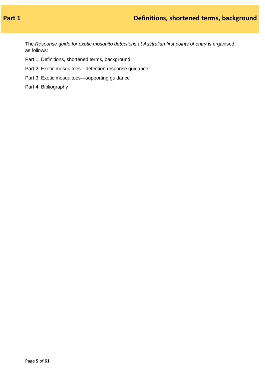The *Response guide for exotic mosquito detections at Australian first points of entry* is organised as follows:

- Part 1: Definitions, shortened terms, background
- Part 2: Exotic mosquitoes—detection response guidance
- Part 3: Exotic mosquitoes—supporting guidance

Part 4: Bibliography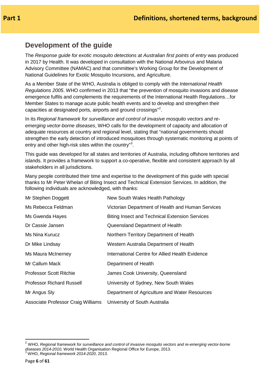### <span id="page-5-0"></span>**Development of the guide**

The *Response guide for exotic mosquito detections at Australian first points of entry* was produced in 2017 by Health. It was developed in consultation with the National Arbovirus and Malaria Advisory Committee (NAMAC) and that committee's Working Group for the Development of National Guidelines for Exotic Mosquito Incursions, and Agriculture.

As a Member State of the WHO, Australia is obliged to comply with the *International Health Regulations 2005*. WHO confirmed in 2013 that "the prevention of mosquito invasions and disease emergence fulfils and complements the requirements of the International Health Regulations…for Member States to manage acute public health events and to develop and strengthen their capacities at designated ports, airports and ground crossings"<sup>[2](#page-5-1)</sup>.

In its *Regional framework for surveillance and control of invasive mosquito vectors and reemerging vector-borne diseases*, WHO calls for the development of capacity and allocation of adequate resources at country and regional level, stating that "national governments should strengthen the early detection of introduced mosquitoes through systematic monitoring at points of entry and other high-risk sites within the country"<sup>[3](#page-5-2)</sup>.

This guide was developed for all states and territories of Australia, including offshore territories and islands. It provides a framework to support a co-operative, flexible and consistent approach by all stakeholders in all jurisdictions.

Many people contributed their time and expertise to the development of this guide with special thanks to Mr Peter Whelan of Biting Insect and Technical Extension Services. In addition, the following individuals are acknowledged, with thanks:

| Mr Stephen Doggett                 | New South Wales Health Pathology                      |
|------------------------------------|-------------------------------------------------------|
| Ms Rebecca Feldman                 | Victorian Department of Health and Human Services     |
| Ms Gwenda Hayes                    | <b>Biting Insect and Technical Extension Services</b> |
| Dr Cassie Jansen                   | Queensland Department of Health                       |
| Ms Nina Kurucz                     | Northern Territory Department of Health               |
| Dr Mike Lindsay                    | Western Australia Department of Health                |
| Ms Maura McInerney                 | International Centre for Allied Health Evidence       |
| Mr Callum Mack                     | Department of Health                                  |
| <b>Professor Scott Ritchie</b>     | James Cook University, Queensland                     |
| <b>Professor Richard Russell</b>   | University of Sydney, New South Wales                 |
| Mr Angus Sly                       | Department of Agriculture and Water Resources         |
| Associate Professor Craig Williams | University of South Australia                         |

<span id="page-5-2"></span><span id="page-5-1"></span><sup>2</sup> WHO, *Regional framework for surveillance and control of invasive mosquito vectors and re-emerging vector-borne diseases 2014-2010*, World Health Organisation Regional Office for Europe, 2013. <sup>3</sup> WHO, *Regional framework 2014-2020*, 2013.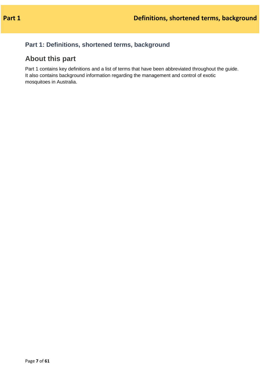### <span id="page-6-0"></span>**Part 1: Definitions, shortened terms, background**

## <span id="page-6-1"></span>**About this part**

Part 1 contains key definitions and a list of terms that have been abbreviated throughout the guide. It also contains background information regarding the management and control of exotic mosquitoes in Australia.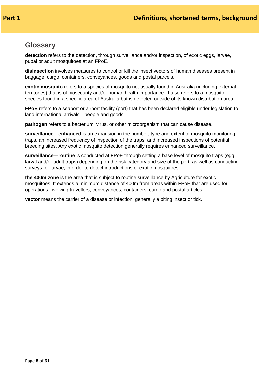### <span id="page-7-0"></span>**Glossary**

**detection** refers to the detection, through surveillance and/or inspection, of exotic eggs, larvae, pupal or adult mosquitoes at an FPoE.

**disinsection** involves measures to control or kill the insect vectors of human diseases present in baggage, cargo, containers, conveyances, goods and postal parcels.

**exotic mosquito** refers to a species of mosquito not usually found in Australia (including external territories) that is of biosecurity and/or human health importance. It also refers to a mosquito species found in a specific area of Australia but is detected outside of its known distribution area.

**FPoE** refers to a seaport or airport facility (port) that has been declared eligible under legislation to land international arrivals—people and goods.

**pathogen** refers to a bacterium, virus, or other microorganism that can cause disease.

**surveillance—enhanced** is an expansion in the number, type and extent of mosquito monitoring traps, an increased frequency of inspection of the traps, and increased inspections of potential breeding sites. Any exotic mosquito detection generally requires enhanced surveillance.

**surveillance—routine** is conducted at FPoE through setting a base level of mosquito traps (egg, larval and/or adult traps) depending on the risk category and size of the port, as well as conducting surveys for larvae, in order to detect introductions of exotic mosquitoes.

**the 400m zone** is the area that is subject to routine surveillance by Agriculture for exotic mosquitoes. It extends a minimum distance of 400m from areas within FPoE that are used for operations involving travellers, conveyances, containers, cargo and postal articles.

**vector** means the carrier of a disease or infection, generally a biting insect or tick.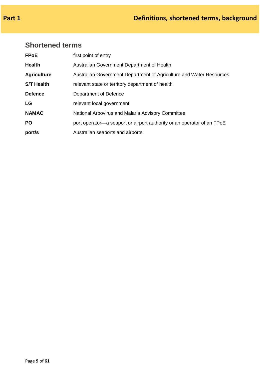## <span id="page-8-0"></span>**Shortened terms**

| <b>FPoE</b>        | first point of entry                                                   |
|--------------------|------------------------------------------------------------------------|
| <b>Health</b>      | Australian Government Department of Health                             |
| <b>Agriculture</b> | Australian Government Department of Agriculture and Water Resources    |
| <b>S/T Health</b>  | relevant state or territory department of health                       |
| <b>Defence</b>     | Department of Defence                                                  |
| LG                 | relevant local government                                              |
| <b>NAMAC</b>       | National Arbovirus and Malaria Advisory Committee                      |
| <b>PO</b>          | port operator—a seaport or airport authority or an operator of an FPoE |
| port/s             | Australian seaports and airports                                       |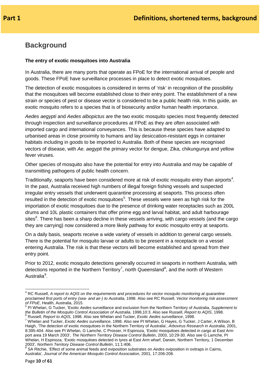# <span id="page-9-0"></span>**Background**

### **The entry of exotic mosquitoes into Australia**

In Australia, there are many ports that operate as FPoE for the international arrival of people and goods. These FPoE have surveillance processes in place to detect exotic mosquitoes.

The detection of exotic mosquitoes is considered in terms of 'risk' in recognition of the possibility that the mosquitoes will become established close to their entry point. The establishment of a new strain or species of pest or disease vector is considered to be a public health risk. In this guide, an exotic mosquito refers to a species that is of biosecurity and/or human health importance.

*Aedes aegypti* and *Aedes albopictus* are the two exotic mosquito species most frequently detected through inspection and surveillance procedures at FPoE as they are often associated with imported cargo and international conveyances. This is because these species have adapted to urbanised areas in close proximity to humans and lay desiccation-resistant eggs in container habitats including in goods to be imported to Australia. Both of these species are recognised vectors of disease, with *Ae. aegypti* the primary vector for dengue, Zika, chikungunya and yellow fever viruses.

Other species of mosquito also have the potential for entry into Australia and may be capable of transmitting pathogens of public health concern.

Traditionally, seaports have been considered more at risk of exotic mosquito entry than airports<sup>[4](#page-9-1)</sup>. In the past, Australia received high numbers of illegal foreign fishing vessels and suspected irregular entry vessels that underwent quarantine processing at seaports. This process often resulted in the detection of exotic mosquitoes<sup>[5](#page-9-2)</sup>. These vessels were seen as high risk for the importation of exotic mosquitoes due to the presence of drinking water receptacles such as 200L drums and 10L plastic containers that offer prime egg and larval habitat, and adult harbourage sites<sup>[6](#page-9-3)</sup>. There has been a sharp decline in these vessels arriving, with cargo vessels (and the cargo they are carrying) now considered a more likely pathway for exotic mosquito entry at seaports.

On a daily basis, seaports receive a wide variety of vessels in addition to general cargo vessels. There is the potential for mosquito larvae or adults to be present in a receptacle on a vessel entering Australia. The risk is that these vectors will become established and spread from their entry point.

Prior to 2012, exotic mosquito detections generally occurred in seaports in northern Australia, with detections reported in the Northern Territory<sup>[7](#page-9-4)</sup>, north Queensland<sup>[8](#page-9-5)</sup>, and the north of Western Australia<sup>[9](#page-9-2)</sup>.

<span id="page-9-1"></span><sup>4</sup> RC Russell, *A report to AQIS on the requirements and procedures for vector mosquito monitoring at quarantine proclaimed first ports of entry (sea- and air-) to Australia*, 1998. Also see RC Russell, *Vector monitoring risk assessment* 

<span id="page-9-2"></span>*of FPoE*, Health, Australia, 2015. **For a complement of FPoE**, Health, Australia, 2015.<br><sup>5</sup> PI Whelan, G Tucker, 'Exotic *Aedes* surveillance and exclusion from the Northern Territory of Australia, *Supplement to the Bu* 

<span id="page-9-4"></span><span id="page-9-3"></span> $^6$  Russell, Report to AQIS, 1998. Also see Whelan and Tucker, Exotic Aedes surveillance, 1998.<br><sup>7</sup> Whelan and Tucker, Exotic Aedes surveillance, 1998. Also see PI Whelan, G Hayes, G Tucker, J Carter, A Wilson, B Haigh, 'The detection of exotic mosquitoes in the Northern Territory of Australia', *Arbovirus Research in Australia*, 2001, 8:395-404. Also see PI Whelan, G Lamche, C Prosser, H Espinoza, 'Exotic mosquitoes detected in cargo at East Arm port area 19 March 2003', *The Northern Territory Disease Control Bulletin*, 2003, 10:29-30. Also see G Lamche, PI Whelan, H Espinoza, 'Exotic mosquitoes detected in tyres at East Arm wharf, Darwin, Northern Territory, 1 December 2003', Northern Territory Disease Control Bulletin, 11:1:406.

<span id="page-9-5"></span><sup>&</sup>lt;sup>8</sup> SA Ritchie, 'Effect of some animal feeds and oviposition substrates on *Aedes* oviposition in ovitraps in Cairns, Australia', *Journal of the American Mosquito Control Association*, 2001, 17:206-208.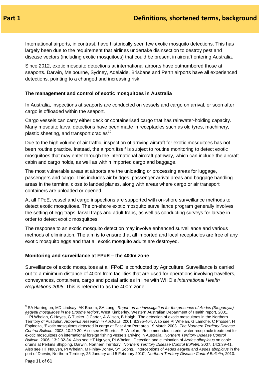International airports, in contrast, have historically seen few exotic mosquito detections. This has largely been due to the requirement that airlines undertake disinsection to destroy pest and disease vectors (including exotic mosquitoes) that could be present in aircraft entering Australia.

Since 2012, exotic mosquito detections at international airports have outnumbered those at seaports. Darwin, Melbourne, Sydney, Adelaide, Brisbane and Perth airports have all experienced detections, pointing to a changed and increasing risk.

#### **The management and control of exotic mosquitoes in Australia**

In Australia, inspections at seaports are conducted on vessels and cargo on arrival, or soon after cargo is offloaded within the seaport.

Cargo vessels can carry either deck or containerised cargo that has rainwater-holding capacity. Many mosquito larval detections have been made in receptacles such as old tyres, machinery, plastic sheeting, and transport cradles<sup>[10](#page-10-0)</sup>.

Due to the high volume of air traffic, inspection of arriving aircraft for exotic mosquitoes has not been routine practice. Instead, the airport itself is subject to routine monitoring to detect exotic mosquitoes that may enter through the international aircraft pathway, which can include the aircraft cabin and cargo holds, as well as within imported cargo and baggage.

The most vulnerable areas at airports are the unloading or processing areas for luggage, passengers and cargo. This includes air bridges, passenger arrival areas and baggage handling areas in the terminal close to landed planes, along with areas where cargo or air transport containers are unloaded or opened.

At all FPoE, vessel and cargo inspections are supported with on-shore surveillance methods to detect exotic mosquitoes. The on-shore exotic mosquito surveillance program generally involves the setting of egg-traps, larval traps and adult traps, as well as conducting surveys for larvae in order to detect exotic mosquitoes.

The response to an exotic mosquito detection may involve enhanced surveillance and various methods of elimination. The aim is to ensure that all imported and local receptacles are free of any exotic mosquito eggs and that all exotic mosquito adults are destroyed.

#### **Monitoring and surveillance at FPoE – the 400m zone**

Surveillance of exotic mosquitoes at all FPoE is conducted by Agriculture. Surveillance is carried out to a minimum distance of 400m from facilities that are used for operations involving travellers, conveyances, containers, cargo and postal articles in line with WHO's *International Health Regulations 2005.* This is referred to as the 400m zone.

<span id="page-10-0"></span><sup>9</sup> SA Harrington, MD Lindsay, AK Broom, SA Long, '*Report on an investigation for the presence of Aedes (Stegomyia)*  aegypti mosquitoes in the Broome region', West Kimberley, Western Australian Department of Health report, 2001.<br><sup>10</sup> PI Whelan, G Hayes, G Tucker, J Carter, A Wilson, B Haigh, 'The detection of exotic mosquitoes in the Nor Territory of Australia', *Arbovirus Research in Australia*, 2001, 8:395-404. Also see PI Whelan, G Lamche, C Prosser, H Espinoza, 'Exotic mosquitoes detected in cargo at East Arm Port area 19 March 2003', *The Northern Territory Disease Control Bulletin*, 2003, 10:29-30. Also see M Shortus, PI Whelan, 'Recommended interim water receptacle treatment for exotic mosquitoes on international foreign fishing vessels arriving in Australia', *Northern Territory Disease Control Bulletin*, 2006, 13:2:32-34. Also see HT Nguyen, PI Whelan, 'Detection and elimination of *Aedes albopictus* on cable drums at Perkins Shipping, Darwin, Northern Territory', *Northern Territory Disease Control Bulletin*, 2007, 14:3:39-41. Also see HT Nguyen, PI Whelan, M Finlay-Doney, SY Soong, 'Interceptions of *Aedes aegypti* and *Aedes abopictus* in the port of Darwin, Northern Territory, 25 January and 5 February 2010', *Northern Territory Disease Control Bulletin*, 2010.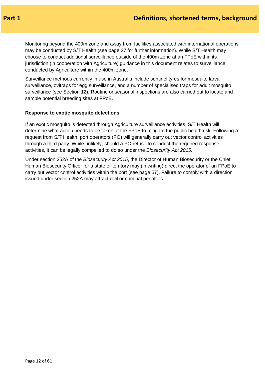Monitoring beyond the 400m zone and away from facilities associated with international operations may be conducted by S/T Health (see page 27 for further information). While S/T Health may choose to conduct additional surveillance outside of the 400m zone at an FPoE within its jurisdiction (in cooperation with Agriculture) guidance in this document relates to surveillance conducted by Agriculture within the 400m zone.

Surveillance methods currently in use in Australia include sentinel tyres for mosquito larval surveillance, ovitraps for egg surveillance, and a number of specialised traps for adult mosquito surveillance (see Section 12). Routine or seasonal inspections are also carried out to locate and sample potential breeding sites at FPoE.

#### **Response to exotic mosquito detections**

If an exotic mosquito is detected through Agriculture surveillance activities, S/T Health will determine what action needs to be taken at the FPoE to mitigate the public health risk. Following a request from S/T Health, port operators (PO) will generally carry out vector control activities through a third party. While unlikely, should a PO refuse to conduct the required response activities, it can be legally compelled to do so under the *Biosecurity Act 2015*.

Under section 252A of the *Biosecurity Act 2015*, the Director of Human Biosecurity or the Chief Human Biosecurity Officer for a state or territory may (in writing) direct the operator of an FPoE to carry out vector control activities within the port (see page 57). Failure to comply with a direction issued under section 252A may attract civil or criminal penalties.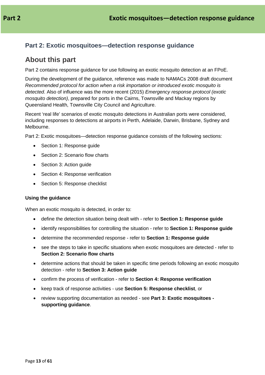### <span id="page-12-0"></span>**Part 2: Exotic mosquitoes—detection response guidance**

### <span id="page-12-1"></span>**About this part**

Part 2 contains response guidance for use following an exotic mosquito detection at an FPoE.

During the development of the guidance, reference was made to NAMACs 2008 draft document *Recommended protocol for action when a risk importation or introduced exotic mosquito is detected*. Also of influence was the more recent (2015) *Emergency response protocol (exotic mosquito detection)*, prepared for ports in the Cairns, Townsville and Mackay regions by Queensland Health, Townsville City Council and Agriculture.

Recent 'real life' scenarios of exotic mosquito detections in Australian ports were considered, including responses to detections at airports in Perth, Adelaide, Darwin, Brisbane, Sydney and Melbourne.

Part 2: Exotic mosquitoes—detection response guidance consists of the following sections:

- Section 1: Response guide
- Section 2: Scenario flow charts
- Section 3: Action quide
- Section 4: Response verification
- Section 5: Response checklist

#### **Using the guidance**

When an exotic mosquito is detected, in order to:

- define the detection situation being dealt with refer to **Section 1: Response guide**
- identify responsibilities for controlling the situation refer to **Section 1: Response guide**
- determine the recommended response refer to **Section 1: Response guide**
- see the steps to take in specific situations when exotic mosquitoes are detected refer to **Section 2: Scenario flow charts**
- determine actions that should be taken in specific time periods following an exotic mosquito detection - refer to **Section 3: Action guide**
- confirm the process of verification refer to **Section 4: Response verification**
- keep track of response activities use **Section 5: Response checklist**, or
- review supporting documentation as needed see **Part 3: Exotic mosquitoes supporting guidance**.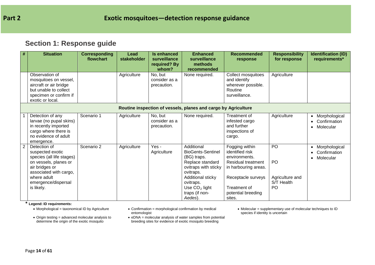### **Section 1: Response guide**

| $\#$           | <b>Situation</b>                                                                                                                                                                       | <b>Corresponding</b><br>flowchart | Lead<br>stakeholder | Is enhanced<br>surveillance<br>required? By<br>whom? | <b>Enhanced</b><br>surveillance<br>methods<br>recommended                                                                                                                                        | <b>Recommended</b><br>response                                                                                                                                         | <b>Responsibility</b><br>for response           | <b>Identification (ID)</b><br>requirements*                 |
|----------------|----------------------------------------------------------------------------------------------------------------------------------------------------------------------------------------|-----------------------------------|---------------------|------------------------------------------------------|--------------------------------------------------------------------------------------------------------------------------------------------------------------------------------------------------|------------------------------------------------------------------------------------------------------------------------------------------------------------------------|-------------------------------------------------|-------------------------------------------------------------|
|                | Observation of<br>mosquitoes on vessel,<br>aircraft or air bridge<br>but unable to collect<br>specimen or confirm if<br>exotic or local.                                               |                                   | Agriculture         | No, but<br>consider as a<br>precaution.              | None required.                                                                                                                                                                                   | Collect mosquitoes<br>and identify<br>wherever possible.<br>Routine<br>surveillance.                                                                                   | Agriculture                                     |                                                             |
|                |                                                                                                                                                                                        |                                   |                     |                                                      | Routine inspection of vessels, planes and cargo by Agriculture                                                                                                                                   |                                                                                                                                                                        |                                                 |                                                             |
|                | Detection of any<br>larvae (no pupal skins)<br>in recently imported<br>cargo where there is<br>no evidence of adult<br>emergence.                                                      | Scenario 1                        | Agriculture         | No, but<br>consider as a<br>precaution.              | None required.                                                                                                                                                                                   | Treatment of<br>infested cargo<br>and further<br>inspections of<br>cargo.                                                                                              | Agriculture                                     | • Morphological<br>• Confirmation<br>Molecular<br>$\bullet$ |
| $\overline{2}$ | Detection of<br>suspected exotic<br>species (all life stages)<br>on vessels, planes or<br>air bridges or<br>associated with cargo,<br>where adult<br>emergence/dispersal<br>is likely. | Scenario 2                        | Agriculture         | Yes -<br>Agriculture                                 | Additional<br><b>BioGents-Sentinel</b><br>(BG) traps.<br>Replace standard<br>ovitraps with sticky<br>ovitraps.<br>Additional sticky<br>ovitraps.<br>Use $CO2$ light<br>traps (if non-<br>Aedes). | Fogging within<br>identified risk<br>environments.<br>Residual treatment<br>in harbouring areas.<br>Receptacle surveys<br>Treatment of<br>potential breeding<br>sites. | PO<br>PO<br>Agriculture and<br>S/T Health<br>PO | Morphological<br>Confirmation<br>Molecular<br>$\bullet$     |

- <span id="page-13-0"></span>**\* Legend: ID requirements:**
	- Origin testing = advanced molecular analysis to determine the origin of the exotic mosquito
- $\bullet$  Confirmation = morphological confirmation by medical entomologist
- eDNA = molecular analysis of water samples from potential breeding sites for evidence of exotic mosquito breeding
- Molecular = supplementary use of molecular techniques to ID species if identity is uncertain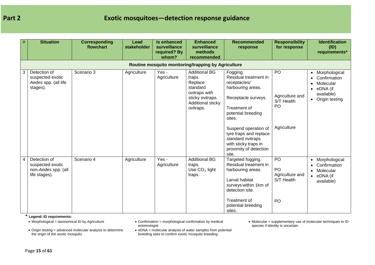| $\#$ | <b>Situation</b>                                                         | <b>Corresponding</b><br>flowchart | <b>Lead</b><br>stakeholder | <b>Is enhanced</b><br>surveillance | <b>Enhanced</b><br>surveillance                                                                                              | <b>Recommended</b><br>response                                                                                                                                                | <b>Responsibility</b><br>for response                                   | <b>Identification</b><br>(ID)                                                                        |
|------|--------------------------------------------------------------------------|-----------------------------------|----------------------------|------------------------------------|------------------------------------------------------------------------------------------------------------------------------|-------------------------------------------------------------------------------------------------------------------------------------------------------------------------------|-------------------------------------------------------------------------|------------------------------------------------------------------------------------------------------|
|      |                                                                          |                                   |                            | required? By<br>whom?              | methods<br>recommended                                                                                                       |                                                                                                                                                                               |                                                                         | requirements*                                                                                        |
|      |                                                                          |                                   |                            |                                    | Routine mosquito monitoring/trapping by Agriculture                                                                          |                                                                                                                                                                               |                                                                         |                                                                                                      |
| 3    | Detection of<br>suspected exotic<br>Aedes spp. (all life<br>stages).     | Scenario 3                        | Agriculture                | Yes -<br>Agriculture               | <b>Additional BG</b><br>traps.<br>Replace<br>standard<br>ovitraps with<br>sticky ovitraps.<br>Additional sticky<br>ovitraps. | Fogging.<br>Residual treatment in<br>receptacles/<br>harbouring areas.<br>Receptacle surveys.<br>Treatment of<br>potential breeding<br>sites.                                 | PO<br>Agriculture and<br>S/T Health<br>PO                               | • Morphological<br>Confirmation<br>Molecular<br>$\bullet$ eDNA (if<br>available)<br>• Origin testing |
|      |                                                                          |                                   |                            |                                    |                                                                                                                              | Suspend operation of<br>tyre traps and replace<br>standard ovitraps<br>with sticky traps in<br>proximity of detection<br>site.                                                | Agriculture                                                             |                                                                                                      |
| 4    | Detection of<br>suspected exotic<br>non-Aedes spp. (all<br>life stages). | Scenario 4                        | Agriculture                | Yes -<br>Agriculture               | <b>Additional BG</b><br>traps.<br>Use $CO2$ light<br>traps.                                                                  | Targeted fogging.<br>Residual treatment in<br>harbouring areas.<br>Larval habitat<br>surveys within 1km of<br>detection site.<br>Treatment of<br>potential breeding<br>sites. | P <sub>O</sub><br>P <sub>O</sub><br>Agriculture and<br>S/T Health<br>PO | • Morphological<br>Confirmation<br>• Molecular<br>$\bullet$ eDNA (if<br>available)                   |

**\* Legend: ID requirements:**

• Origin testing = advanced molecular analysis to determine the origin of the exotic mosquito

 $\bullet$  Confirmation = morphological confirmation by medical entomologist

• eDNA = molecular analysis of water samples from potential breeding sites to confirm exotic mosquito breeding

• Molecular = supplementary use of molecular techniques to ID species if identity is uncertain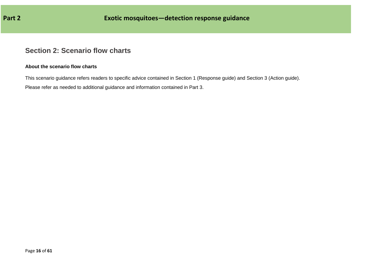### **Section 2: Scenario flow charts**

### **About the scenario flow charts**

This scenario guidance refers readers to specific advice contained in Section 1 (Response guide) and Section 3 (Action guide).

<span id="page-15-0"></span>Please refer as needed to additional guidance and information contained in Part 3.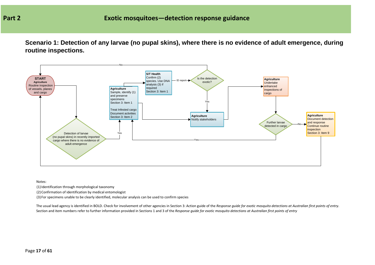**Scenario 1: Detection of any larvae (no pupal skins), where there is no evidence of adult emergence, during routine inspections.**



Notes:

(1) Identification through morphological taxonomy

(2) Confirmation of identification by medical entomologist

(3) For specimens unable to be clearly identified, molecular analysis can be used to confirm species

The usual lead agency is identified in BOLD. Check for involvement of other agencies in Section 3: Action guide of the *Response guide for exotic mosquito detections at Australian first points of entry*. Section and item numbers refer to further information provided in Sections 1 and 3 of the *Response guide for exotic mosquito detections at Australian first points of entry*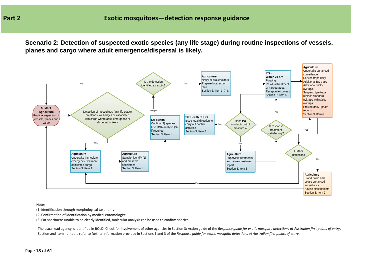**Scenario 2: Detection of suspected exotic species (any life stage) during routine inspections of vessels, planes and cargo where adult emergence/dispersal is likely.**



Notes:

(1) Identification through morphological taxonomy

(2) Confirmation of identification by medical entomologist

(3) For specimens unable to be clearly identified, molecular analysis can be used to confirm species

The usual lead agency is identified in BOLD. Check for involvement of other agencies in Section 3: Action guide of the *Response guide for exotic mosquito detections at Australian first points of entry*. Section and item numbers refer to further information provided in Sections 1 and 3 of the *Response guide for exotic mosquito detections at Australian first points of entry*.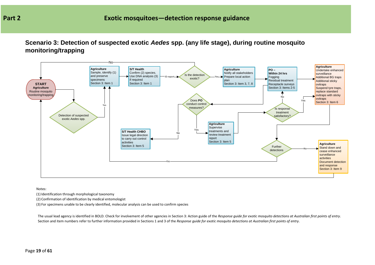**Scenario 3: Detection of suspected exotic** *Aedes* **spp. (any life stage), during routine mosquito monitoring/trapping**



Notes:

(1) Identification through morphological taxonomy

(2) Confirmation of identification by medical entomologist

(3) For specimens unable to be clearly identified, molecular analysis can be used to confirm species

The usual lead agency is identified in BOLD. Check for involvement of other agencies in Section 3: Action guide of the *Response guide for exotic mosquito detections at Australian first points of entry*. Section and item numbers refer to further information provided in Sections 1 and 3 of the *Response guide for exotic mosquito detections at Australian first points of entry*.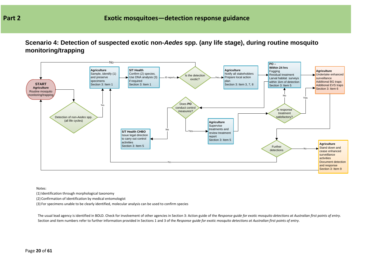**Scenario 4: Detection of suspected exotic non-***Aedes* **spp. (any life stage), during routine mosquito monitoring/trapping**



Notes:

(1) Identification through morphological taxonomy

(2) Confirmation of identification by medical entomologist

(3) For specimens unable to be clearly identified, molecular analysis can be used to confirm species

The usual lead agency is identified in BOLD. Check for involvement of other agencies in Section 3: Action guide of the *Response guide for exotic mosquito detections at Australian first points of entry*. Section and item numbers refer to further information provided in Sections 1 and 3 of the *Response guide for exotic mosquito detections at Australian first points of entry*.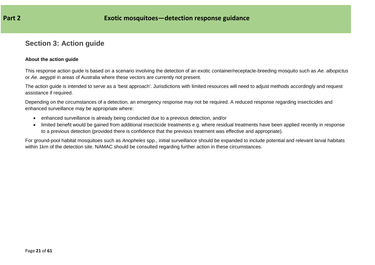### **Section 3: Action guide**

#### **About the action guide**

This response action guide is based on a scenario involving the detection of an exotic container/receptacle-breeding mosquito such as *Ae. albopictus*  or *Ae. aegypti* in areas of Australia where these vectors are currently not present.

The action guide is intended to serve as a 'best approach'. Jurisdictions with limited resources will need to adjust methods accordingly and request assistance if required.

Depending on the circumstances of a detection, an emergency response may not be required. A reduced response regarding insecticides and enhanced surveillance may be appropriate where:

- enhanced surveillance is already being conducted due to a previous detection, and/or
- limited benefit would be gained from additional insecticide treatments e.g. where residual treatments have been applied recently in response to a previous detection (provided there is confidence that the previous treatment was effective and appropriate).

<span id="page-20-0"></span>For ground-pool habitat mosquitoes such as *Anopheles* spp., initial surveillance should be expanded to include potential and relevant larval habitats within 1km of the detection site. NAMAC should be consulted regarding further action in these circumstances.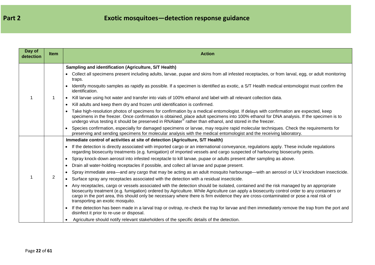| Day of<br>detection | <b>Item</b> | <b>Action</b>                                                                                                                                                                                                                                                                                                                                                                                                                                                                                                                                                                                                                                                                                                                                                                                                                                                                                                                                                                                                                                                                                                                                                                                                                                                                                                                                                                                                                                                                                                                                                                                                                            |
|---------------------|-------------|------------------------------------------------------------------------------------------------------------------------------------------------------------------------------------------------------------------------------------------------------------------------------------------------------------------------------------------------------------------------------------------------------------------------------------------------------------------------------------------------------------------------------------------------------------------------------------------------------------------------------------------------------------------------------------------------------------------------------------------------------------------------------------------------------------------------------------------------------------------------------------------------------------------------------------------------------------------------------------------------------------------------------------------------------------------------------------------------------------------------------------------------------------------------------------------------------------------------------------------------------------------------------------------------------------------------------------------------------------------------------------------------------------------------------------------------------------------------------------------------------------------------------------------------------------------------------------------------------------------------------------------|
|                     |             | Sampling and identification (Agriculture, S/T Health)<br>• Collect all specimens present including adults, larvae, pupae and skins from all infested receptacles, or from larval, egg, or adult monitoring<br>traps.<br>Identify mosquito samples as rapidly as possible. If a specimen is identified as exotic, a S/T Health medical entomologist must confirm the<br>identification.<br>Kill larvae using hot water and transfer into vials of 100% ethanol and label with all relevant collection data.<br>$\bullet$<br>Kill adults and keep them dry and frozen until identification is confirmed.<br>$\bullet$<br>• Take high-resolution photos of specimens for confirmation by a medical entomologist. If delays with confirmation are expected, keep<br>specimens in the freezer. Once confirmation is obtained, place adult specimens into 100% ethanol for DNA analysis. If the specimen is to undergo virus testing it should be preserved in RNAlater® rather than ethanol, and st<br>Species confirmation, especially for damaged specimens or larvae, may require rapid molecular techniques. Check the requirements for<br>preserving and sending specimens for molecular analysis with the medical entomologist and the receiving laboratory.                                                                                                                                                                                                                                                                                                                                                                            |
|                     | 2           | Immediate control of activities at site of detection (Agriculture, S/T Health)<br>If the detection is directly associated with imported cargo or an international conveyance, regulations apply. These include regulations<br>regarding biosecurity treatments (e.g. fumigation) of imported vessels and cargo suspected of harbouring biosecurity pests.<br>Spray knock-down aerosol into infested receptacle to kill larvae, pupae or adults present after sampling as above.<br>$\bullet$<br>Drain all water-holding receptacles if possible, and collect all larvae and pupae present.<br>$\bullet$<br>Spray immediate area—and any cargo that may be acting as an adult mosquito harbourage—with an aerosol or ULV knockdown insecticide.<br>$\bullet$<br>• Surface spray any receptacles associated with the detection with a residual insecticide.<br>Any receptacles, cargo or vessels associated with the detection should be isolated, contained and the risk managed by an appropriate<br>$\bullet$<br>biosecurity treatment (e.g. fumigation) ordered by Agriculture. While Agriculture can apply a biosecurity control order to any containers or<br>cargo in the port area, this should only be necessary where there is firm evidence they are cross-contaminated or pose a real risk of<br>transporting an exotic mosquito.<br>If the detection has been made in a larval trap or ovitrap, re-check the trap for larvae and then immediately remove the trap from the port and<br>disinfect it prior to re-use or disposal.<br>Agriculture should notify relevant stakeholders of the specific details of the detection. |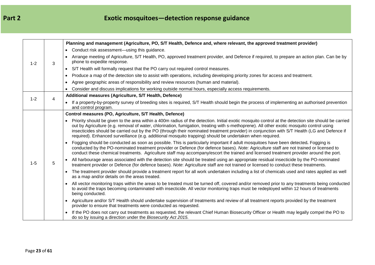# **Part 2 Exotic mosquitoes—detection response guidance**

|         |   | Planning and management (Agriculture, PO, S/T Health, Defence and, where relevant, the approved treatment provider)                                                                                                                                                                                                                                                                                                                                                                                                                                                      |
|---------|---|--------------------------------------------------------------------------------------------------------------------------------------------------------------------------------------------------------------------------------------------------------------------------------------------------------------------------------------------------------------------------------------------------------------------------------------------------------------------------------------------------------------------------------------------------------------------------|
|         |   | • Conduct risk assessment-using this guidance.                                                                                                                                                                                                                                                                                                                                                                                                                                                                                                                           |
| $1 - 2$ | 3 | • Arrange meeting of Agriculture, S/T Health, PO, approved treatment provider, and Defence if required, to prepare an action plan. Can be by<br>phone to expedite response.                                                                                                                                                                                                                                                                                                                                                                                              |
|         |   | S/T Health will formally request that the PO carry out required control measures.<br>$\bullet$                                                                                                                                                                                                                                                                                                                                                                                                                                                                           |
|         |   | Produce a map of the detection site to assist with operations, including developing priority zones for access and treatment.                                                                                                                                                                                                                                                                                                                                                                                                                                             |
|         |   | Agree geographic areas of responsibility and review resources (human and material).                                                                                                                                                                                                                                                                                                                                                                                                                                                                                      |
|         |   | Consider and discuss implications for working outside normal hours, especially access requirements.<br>$\bullet$                                                                                                                                                                                                                                                                                                                                                                                                                                                         |
| $1 - 2$ | 4 | Additional measures (Agriculture, S/T Health, Defence)                                                                                                                                                                                                                                                                                                                                                                                                                                                                                                                   |
|         |   | • If a property-by-property survey of breeding sites is required, S/T Health should begin the process of implementing an authorised prevention<br>and control program.                                                                                                                                                                                                                                                                                                                                                                                                   |
|         |   | Control measures (PO, Agriculture, S/T Health, Defence)                                                                                                                                                                                                                                                                                                                                                                                                                                                                                                                  |
|         |   | Priority should be given to the area within a 400m radius of the detection. Initial exotic mosquito control at the detection site should be carried<br>$\bullet$<br>out by Agriculture (e.g. removal of water, chlorination, fumigation, treating with s-methoprene). All other exotic mosquito control using<br>insecticides should be carried out by the PO (through their nominated treatment provider) in conjunction with S/T Health (LG and Defence if<br>required). Enhanced surveillance (e.g. additional mosquito trapping) should be undertaken when required. |
|         |   | Fogging should be conducted as soon as possible. This is particularly important if adult mosquitoes have been detected. Fogging is<br>conducted by the PO-nominated treatment provider or Defence (for defence bases). Note: Agriculture staff are not trained or licensed to<br>conduct these chemical treatments. Agriculture staff may accompany/escort the trained and licensed treatment provider around the port.                                                                                                                                                  |
| $1 - 5$ | 5 | All harbourage areas associated with the detection site should be treated using an appropriate residual insecticide by the PO-nominated<br>$\bullet$<br>treatment provider or Defence (for defence bases). Note: Agriculture staff are not trained or licensed to conduct these treatments.                                                                                                                                                                                                                                                                              |
|         |   | The treatment provider should provide a treatment report for all work undertaken including a list of chemicals used and rates applied as well<br>as a map and/or details on the areas treated.                                                                                                                                                                                                                                                                                                                                                                           |
|         |   | All vector monitoring traps within the areas to be treated must be turned off, covered and/or removed prior to any treatments being conducted<br>to avoid the traps becoming contaminated with insecticide. All vector monitoring traps must be redeployed within 12 hours of treatments<br>being conducted.                                                                                                                                                                                                                                                             |
|         |   | Agriculture and/or S/T Health should undertake supervision of treatments and review of all treatment reports provided by the treatment<br>provider to ensure that treatments were conducted as requested.                                                                                                                                                                                                                                                                                                                                                                |
|         |   | If the PO does not carry out treatments as requested, the relevant Chief Human Biosecurity Officer or Health may legally compel the PO to<br>do so by issuing a direction under the Biosecurity Act 2015.                                                                                                                                                                                                                                                                                                                                                                |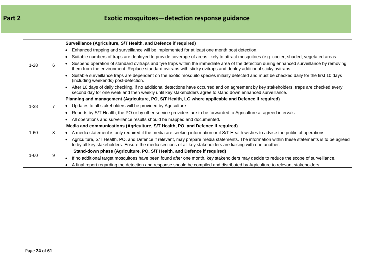# **Part 2 Exotic mosquitoes—detection response guidance**

|          |   | Surveillance (Agriculture, S/T Health, and Defence if required)                                                                                                                                                                                               |
|----------|---|---------------------------------------------------------------------------------------------------------------------------------------------------------------------------------------------------------------------------------------------------------------|
|          |   | Enhanced trapping and surveillance will be implemented for at least one month post detection.                                                                                                                                                                 |
|          |   | Suitable numbers of traps are deployed to provide coverage of areas likely to attract mosquitoes (e.g. cooler, shaded, vegetated areas.                                                                                                                       |
| $1 - 28$ | 6 | Suspend operation of standard ovitraps and tyre traps within the immediate area of the detection during enhanced surveillance by removing<br>them from the environment. Replace standard ovitraps with sticky ovitraps and deploy additional sticky ovitraps. |
|          |   | Suitable surveillance traps are dependent on the exotic mosquito species initially detected and must be checked daily for the first 10 days<br>(including weekends) post-detection.                                                                           |
|          |   | After 10 days of daily checking, if no additional detections have occurred and on agreement by key stakeholders, traps are checked every<br>second day for one week and then weekly until key stakeholders agree to stand down enhanced surveillance.         |
|          |   | Planning and management (Agriculture, PO, S/T Health, LG where applicable and Defence if required)                                                                                                                                                            |
| $1 - 28$ |   | • Updates to all stakeholders will be provided by Agriculture.                                                                                                                                                                                                |
|          |   | Reports by S/T Health, the PO or by other service providers are to be forwarded to Agriculture at agreed intervals.                                                                                                                                           |
|          |   | All operations and surveillance results should be mapped and documented.                                                                                                                                                                                      |
|          |   | Media and communications (Agriculture, S/T Health, PO, and Defence if required)                                                                                                                                                                               |
| 1-60     | 8 | A media statement is only required if the media are seeking information or if S/T Health wishes to advise the public of operations.                                                                                                                           |
|          |   | Agriculture, S/T Health, PO, and Defence if relevant, may prepare media statements. The information within these statements is to be agreed<br>to by all key stakeholders. Ensure the media sections of all key stakeholders are liaising with one another.   |
|          |   | Stand-down phase (Agriculture, PO, S/T Health, and Defence if required)                                                                                                                                                                                       |
| 1-60     | 9 | If no additional target mosquitoes have been found after one month, key stakeholders may decide to reduce the scope of surveillance.                                                                                                                          |
|          |   | A final report regarding the detection and response should be compiled and distributed by Agriculture to relevant stakeholders.                                                                                                                               |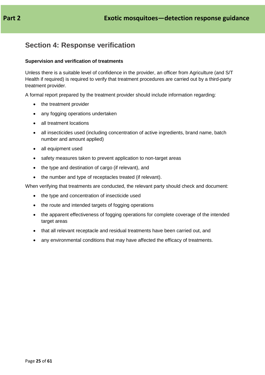### <span id="page-24-0"></span>**Section 4: Response verification**

#### **Supervision and verification of treatments**

Unless there is a suitable level of confidence in the provider, an officer from Agriculture (and S/T Health if required) is required to verify that treatment procedures are carried out by a third-party treatment provider.

A formal report prepared by the treatment provider should include information regarding:

- the treatment provider
- any fogging operations undertaken
- all treatment locations
- all insecticides used (including concentration of active ingredients, brand name, batch number and amount applied)
- all equipment used
- safety measures taken to prevent application to non-target areas
- the type and destination of cargo (if relevant), and
- the number and type of receptacles treated (if relevant).

When verifying that treatments are conducted, the relevant party should check and document:

- the type and concentration of insecticide used
- the route and intended targets of fogging operations
- the apparent effectiveness of fogging operations for complete coverage of the intended target areas
- that all relevant receptacle and residual treatments have been carried out, and
- any environmental conditions that may have affected the efficacy of treatments.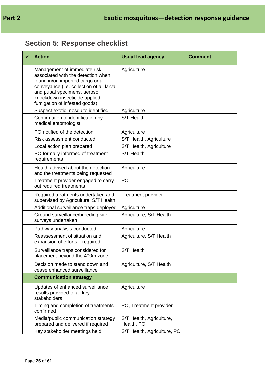# <span id="page-25-0"></span>**Section 5: Response checklist**

| <b>Action</b>                                                                                                                                                                                                                                         | <b>Usual lead agency</b>               | <b>Comment</b> |
|-------------------------------------------------------------------------------------------------------------------------------------------------------------------------------------------------------------------------------------------------------|----------------------------------------|----------------|
| Management of immediate risk<br>associated with the detection when<br>found in/on imported cargo or a<br>conveyance (i.e. collection of all larval<br>and pupal specimens, aerosol<br>knockdown insecticide applied,<br>fumigation of infested goods) | Agriculture                            |                |
| Suspect exotic mosquito identified                                                                                                                                                                                                                    | Agriculture                            |                |
| Confirmation of identification by<br>medical entomologist                                                                                                                                                                                             | S/T Health                             |                |
| PO notified of the detection                                                                                                                                                                                                                          | Agriculture                            |                |
| Risk assessment conducted                                                                                                                                                                                                                             | S/T Health, Agriculture                |                |
| Local action plan prepared                                                                                                                                                                                                                            | S/T Health, Agriculture                |                |
| PO formally informed of treatment<br>requirements                                                                                                                                                                                                     | S/T Health                             |                |
| Health advised about the detection<br>and the treatments being requested                                                                                                                                                                              | Agriculture                            |                |
| Treatment provider engaged to carry<br>out required treatments                                                                                                                                                                                        | P <sub>O</sub>                         |                |
| Required treatments undertaken and<br>supervised by Agriculture, S/T Health                                                                                                                                                                           | <b>Treatment provider</b>              |                |
| Additional surveillance traps deployed                                                                                                                                                                                                                | Agriculture                            |                |
| Ground surveillance/breeding site<br>surveys undertaken                                                                                                                                                                                               | Agriculture, S/T Health                |                |
| Pathway analysis conducted                                                                                                                                                                                                                            | Agriculture                            |                |
| Reassessment of situation and<br>expansion of efforts if required                                                                                                                                                                                     | Agriculture, S/T Health                |                |
| Surveillance traps considered for<br>placement beyond the 400m zone.                                                                                                                                                                                  | S/T Health                             |                |
| Decision made to stand down and<br>cease enhanced surveillance                                                                                                                                                                                        | Agriculture, S/T Health                |                |
| <b>Communication strategy</b>                                                                                                                                                                                                                         |                                        |                |
| Updates of enhanced surveillance<br>results provided to all key<br>stakeholders                                                                                                                                                                       | Agriculture                            |                |
| Timing and completion of treatments<br>confirmed                                                                                                                                                                                                      | PO, Treatment provider                 |                |
| Media/public communication strategy<br>prepared and delivered if required                                                                                                                                                                             | S/T Health, Agriculture,<br>Health, PO |                |
| Key stakeholder meetings held                                                                                                                                                                                                                         | S/T Health, Agriculture, PO            |                |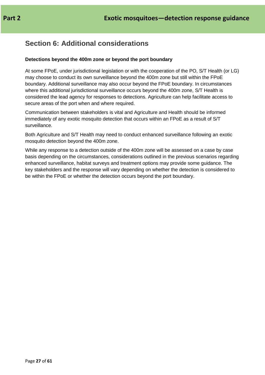### <span id="page-26-0"></span>**Section 6: Additional considerations**

### **Detections beyond the 400m zone or beyond the port boundary**

At some FPoE, under jurisdictional legislation or with the cooperation of the PO, S/T Health (or LG) may choose to conduct its own surveillance beyond the 400m zone but still within the FPoE boundary. Additional surveillance may also occur beyond the FPoE boundary. In circumstances where this additional jurisdictional surveillance occurs beyond the 400m zone, S/T Health is considered the lead agency for responses to detections. Agriculture can help facilitate access to secure areas of the port when and where required.

Communication between stakeholders is vital and Agriculture and Health should be informed immediately of any exotic mosquito detection that occurs within an FPoE as a result of S/T surveillance.

Both Agriculture and S/T Health may need to conduct enhanced surveillance following an exotic mosquito detection beyond the 400m zone.

While any response to a detection outside of the 400m zone will be assessed on a case by case basis depending on the circumstances, considerations outlined in the previous scenarios regarding enhanced surveillance, habitat surveys and treatment options may provide some guidance. The key stakeholders and the response will vary depending on whether the detection is considered to be within the FPoE or whether the detection occurs beyond the port boundary.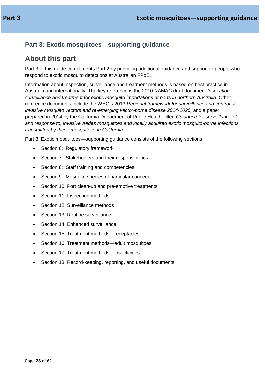### <span id="page-27-0"></span>**Part 3: Exotic mosquitoes—supporting guidance**

### <span id="page-27-1"></span>**About this part**

Part 3 of this guide compliments Part 2 by providing additional guidance and support to people who respond to exotic mosquito detections at Australian FPoE.

Information about inspection, surveillance and treatment methods is based on best practice in Australia and internationally. The key reference is the 2010 NAMAC draft document *Inspection, surveillance and treatment for exotic mosquito importations at ports in northern Australia*. Other reference documents include the WHO's 2013 *Regional framework for surveillance and control of invasive mosquito vectors and re-emerging vector-borne disease 2014-2020,* and a paper prepared in 2014 by the California Department of Public Health, titled *Guidance for surveillance of, and response to, invasive Aedes mosquitoes and locally acquired exotic mosquito-borne infections transmitted by these mosquitoes in California*.

Part 3: Exotic mosquitoes—supporting guidance consists of the following sections:

- Section 6: Regulatory framework
- Section 7: Stakeholders and their responsibilities
- Section 8: Staff training and competencies
- Section 9: Mosquito species of particular concern
- Section 10: Port clean-up and pre-emptive treatments
- Section 11: Inspection methods
- Section 12: Surveillance methods
- Section 13: Routine surveillance
- Section 14: Enhanced surveillance
- Section 15: Treatment methods—receptacles
- Section 16: Treatment methods—adult mosquitoes
- Section 17: Treatment methods—insecticides
- Section 18: Record-keeping, reporting, and useful documents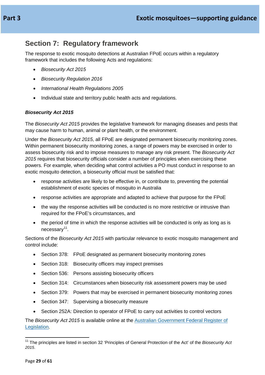### <span id="page-28-0"></span>**Section 7: Regulatory framework**

The response to exotic mosquito detections at Australian FPoE occurs within a regulatory framework that includes the following Acts and regulations:

- *Biosecurity Act 2015*
- *Biosecurity Regulation 2016*
- *International Health Regulations 2005*
- Individual state and territory public health acts and regulations.

### *Biosecurity Act 2015*

The *Biosecurity Act 2015* provides the legislative framework for managing diseases and pests that may cause harm to human, animal or plant health, or the environment.

Under the *Biosecurity Act 2015*, all FPoE are designated permanent biosecurity monitoring zones. Within permanent biosecurity monitoring zones, a range of powers may be exercised in order to assess biosecurity risk and to impose measures to manage any risk present. The *Biosecurity Act 2015* requires that biosecurity officials consider a number of principles when exercising these powers. For example, when deciding what control activities a PO must conduct in response to an exotic mosquito detection, a biosecurity official must be satisfied that:

- response activities are likely to be effective in, or contribute to, preventing the potential establishment of exotic species of mosquito in Australia
- response activities are appropriate and adapted to achieve that purpose for the FPoE
- the way the response activities will be conducted is no more restrictive or intrusive than required for the FPoE's circumstances, and
- the period of time in which the response activities will be conducted is only as long as is  $necessary<sup>11</sup>$ .

Sections of the *Biosecurity Act 2015* with particular relevance to exotic mosquito management and control include:

- Section 378: FPoE designated as permanent biosecurity monitoring zones
- Section 318: Biosecurity officers may inspect premises
- Section 536: Persons assisting biosecurity officers
- Section 314: Circumstances when biosecurity risk assessment powers may be used
- Section 379: Powers that may be exercised in permanent biosecurity monitoring zones
- Section 347: Supervising a biosecurity measure
- Section 252A: Direction to operator of FPoE to carry out activities to control vectors

The *Biosecurity Act 2015* is available online at the [Australian Government Federal Register of](https://www.legislation.gov.au/Details/C2017C00148)  [Legislation.](https://www.legislation.gov.au/Details/C2017C00148)

<span id="page-28-1"></span><sup>11</sup> The principles are listed in section 32 'Principles of General Protection of the Act' of the *Biosecurity Act 2015*.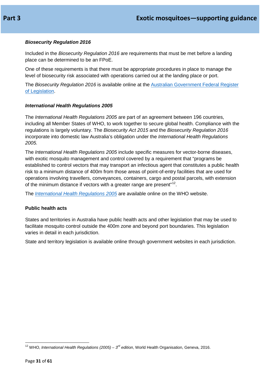### *Biosecurity Regulation 2016*

Included in the *Biosecurity Regulation 2016* are requirements that must be met before a landing place can be determined to be an FPoE.

One of these requirements is that there must be appropriate procedures in place to manage the level of biosecurity risk associated with operations carried out at the landing place or port.

The *Biosecurity Regulation 2016* is available online at the [Australian Government Federal Register](https://www.legislation.gov.au/Details/F2016L00756)  [of Legislation.](https://www.legislation.gov.au/Details/F2016L00756)

#### *International Health Regulations 2005*

The *International Health Regulations 2005* are part of an agreement between 196 countries, including all Member States of WHO, to work together to secure global health. Compliance with the regulations is largely voluntary. The *Biosecurity Act 2015* and the *Biosecurity Regulation 2016* incorporate into domestic law Australia's obligation under the *International Health Regulations 2005.*

The *International Health Regulations 2005* include specific measures for vector-borne diseases, with exotic mosquito management and control covered by a requirement that "programs be established to control vectors that may transport an infectious agent that constitutes a public health risk to a minimum distance of 400m from those areas of point-of-entry facilities that are used for operations involving travellers, conveyances, containers, cargo and postal parcels, with extension of the minimum distance if vectors with a greater range are present"<sup>[12](#page-30-0)</sup>.

The *[International Health Regulations](http://www.who.int/ihr/publications/9789241580496/en/) 2005* are available online on the WHO website.

#### **Public health acts**

States and territories in Australia have public health acts and other legislation that may be used to facilitate mosquito control outside the 400m zone and beyond port boundaries. This legislation varies in detail in each jurisdiction.

State and territory legislation is available online through government websites in each jurisdiction.

<span id="page-30-0"></span><sup>12</sup> WHO, *International Health Regulations (2005) – <sup>3</sup>rd edition*, World Health Organisation, Geneva, 2016.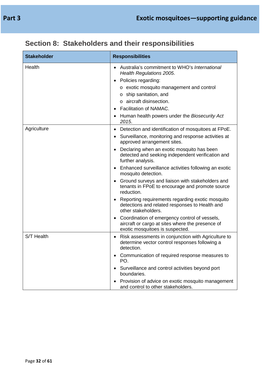| <b>Stakeholder</b> | <b>Responsibilities</b>                                                                                                                                                                                                                                                                                                                                                                                                                                                                                                                                                                                                                                                                                                                                 |
|--------------------|---------------------------------------------------------------------------------------------------------------------------------------------------------------------------------------------------------------------------------------------------------------------------------------------------------------------------------------------------------------------------------------------------------------------------------------------------------------------------------------------------------------------------------------------------------------------------------------------------------------------------------------------------------------------------------------------------------------------------------------------------------|
| Health             | Australia's commitment to WHO's International<br>Health Regulations 2005.<br>Policies regarding:<br>o exotic mosquito management and control<br>o ship sanitation, and<br>o aircraft disinsection.<br><b>Facilitation of NAMAC.</b><br>Human health powers under the Biosecurity Act<br>2015.                                                                                                                                                                                                                                                                                                                                                                                                                                                           |
| Agriculture        | Detection and identification of mosquitoes at FPoE.<br>$\bullet$<br>Surveillance, monitoring and response activities at<br>approved arrangement sites.<br>Declaring when an exotic mosquito has been<br>detected and seeking independent verification and<br>further analysis.<br>Enhanced surveillance activities following an exotic<br>mosquito detection.<br>Ground surveys and liaison with stakeholders and<br>tenants in FPoE to encourage and promote source<br>reduction.<br>Reporting requirements regarding exotic mosquito<br>detections and related responses to Health and<br>other stakeholders.<br>Coordination of emergency control of vessels,<br>aircraft or cargo at sites where the presence of<br>exotic mosquitoes is suspected. |
| S/T Health         | Risk assessments in conjunction with Agriculture to<br>$\bullet$<br>determine vector control responses following a<br>detection.<br>Communication of required response measures to<br>PO.<br>Surveillance and control activities beyond port<br>boundaries.<br>Provision of advice on exotic mosquito management<br>and control to other stakeholders.                                                                                                                                                                                                                                                                                                                                                                                                  |

# <span id="page-31-0"></span>**Section 8: Stakeholders and their responsibilities**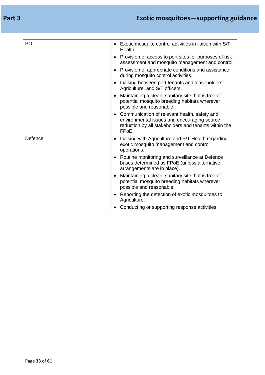| PO      | Exotic mosquito control activities in liaison with S/T<br>$\bullet$<br>Health.                                                                                                         |
|---------|----------------------------------------------------------------------------------------------------------------------------------------------------------------------------------------|
|         | Provision of access to port sites for purposes of risk<br>٠<br>assessment and mosquito management and control.                                                                         |
|         | Provision of appropriate conditions and assistance<br>$\bullet$<br>during mosquito control activities.                                                                                 |
|         | Liaising between port tenants and leaseholders,<br>$\bullet$<br>Agriculture, and S/T officers.                                                                                         |
|         | Maintaining a clean, sanitary site that is free of<br>$\bullet$<br>potential mosquito breeding habitats wherever<br>possible and reasonable.                                           |
|         | Communication of relevant health, safety and<br>$\bullet$<br>environmental issues and encouraging source<br>reduction by all stakeholders and tenants within the<br>FP <sub>o</sub> E. |
| Defence | Liaising with Agriculture and S/T Health regarding<br>$\bullet$<br>exotic mosquito management and control<br>operations.                                                               |
|         | Routine monitoring and surveillance at Defence<br>$\bullet$<br>bases determined as FPoE (unless alternative<br>arrangements are in place).                                             |
|         | Maintaining a clean, sanitary site that is free of<br>$\bullet$<br>potential mosquito breeding habitats wherever<br>possible and reasonable.                                           |
|         | Reporting the detection of exotic mosquitoes to<br>٠<br>Agriculture.                                                                                                                   |
|         | Conducting or supporting response activities.<br>$\bullet$                                                                                                                             |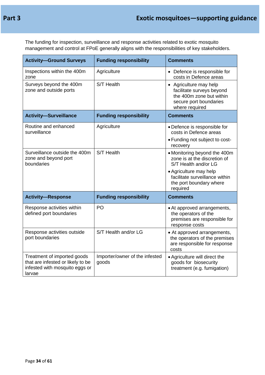The funding for inspection, surveillance and response activities related to exotic mosquito management and control at FPoE generally aligns with the responsibilities of key stakeholders.

| <b>Activity-Ground Surveys</b>                                                                               | <b>Funding responsibility</b>           | <b>Comments</b>                                                                                                             |
|--------------------------------------------------------------------------------------------------------------|-----------------------------------------|-----------------------------------------------------------------------------------------------------------------------------|
| Inspections within the 400m<br>zone                                                                          | Agriculture                             | • Defence is responsible for<br>costs in Defence areas                                                                      |
| Surveys beyond the 400m<br>zone and outside ports                                                            | S/T Health                              | • Agriculture may help<br>facilitate surveys beyond<br>the 400m zone but within<br>secure port boundaries<br>where required |
| <b>Activity-Surveillance</b>                                                                                 | <b>Funding responsibility</b>           | <b>Comments</b>                                                                                                             |
| Routine and enhanced<br>surveillance                                                                         | Agriculture                             | • Defence is responsible for<br>costs in Defence areas<br>• Funding not subject to cost-<br>recovery                        |
| Surveillance outside the 400m<br>zone and beyond port<br>boundaries                                          | S/T Health                              | • Monitoring beyond the 400m<br>zone is at the discretion of<br>S/T Health and/or LG                                        |
|                                                                                                              |                                         | • Agriculture may help<br>facilitate surveillance within<br>the port boundary where<br>required                             |
| <b>Activity-Response</b>                                                                                     | <b>Funding responsibility</b>           | <b>Comments</b>                                                                                                             |
| Response activities within<br>defined port boundaries                                                        | PO                                      | • At approved arrangements,<br>the operators of the<br>premises are responsible for<br>response costs                       |
| Response activities outside<br>port boundaries                                                               | S/T Health and/or LG                    | • At approved arrangements,<br>the operators of the premises<br>are responsible for response<br>costs                       |
| Treatment of imported goods<br>that are infested or likely to be<br>infested with mosquito eggs or<br>larvae | Importer/owner of the infested<br>goods | • Agriculture will direct the<br>goods for biosecurity<br>treatment (e.g. fumigation)                                       |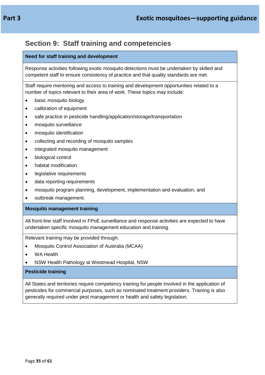### <span id="page-34-0"></span>**Section 9: Staff training and competencies**

### **Need for staff training and development**

Response activities following exotic mosquito detections must be undertaken by skilled and competent staff to ensure consistency of practice and that quality standards are met.

Staff require mentoring and access to training and development opportunities related to a number of topics relevant to their area of work. These topics may include:

- basic mosquito biology
- calibration of equipment
- safe practice in pesticide handling/application/storage/transportation
- mosquito surveillance
- mosquito identification
- collecting and recording of mosquito samples
- integrated mosquito management
- biological control
- habitat modification
- legislative requirements
- data reporting requirements
- mosquito program planning, development, implementation and evaluation, and
- outbreak management.

#### **Mosquito management training**

All front-line staff involved in FPoE surveillance and response activities are expected to have undertaken specific mosquito management education and training.

Relevant training may be provided through:

- Mosquito Control Association of Australia (MCAA)
- WA Health
- NSW Health Pathology at Westmead Hospital, NSW

#### **Pesticide training**

All States and territories require competency training for people involved in the application of pesticides for commercial purposes, such as nominated treatment providers. Training is also generally required under pest management or health and safety legislation.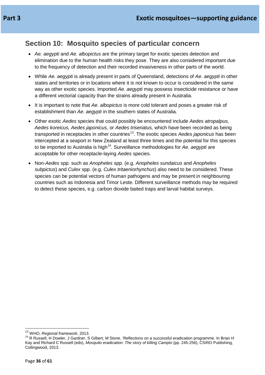### <span id="page-35-0"></span>**Section 10: Mosquito species of particular concern**

- *Ae. aegypti* and *Ae. albopictus* are the primary target for exotic species detection and elimination due to the human health risks they pose. They are also considered important due to the frequency of detection and their recorded invasiveness in other parts of the world.
- While *Ae. aegypti* is already present in parts of Queensland, detections of *Ae. aegypti* in other states and territories or in locations where it is not known to occur is considered in the same way as other exotic species. Imported *Ae. aegypti* may possess insecticide resistance or have a different vectorial capacity than the strains already present in Australia.
- It is important to note that *Ae. albopictus* is more cold tolerant and poses a greater risk of establishment than *Ae. aegypti* in the southern states of Australia*.*
- Other exotic *Aedes* species that could possibly be encountered include *Aedes atropalpus, Aedes koreicus, Aedes japonicus,* or *Aedes triseriatus,* which have been recorded as being transported in receptacles in other countries<sup>[13](#page-35-1)</sup>. The exotic species *Aedes japonicus* has been intercepted at a seaport in New Zealand at least three times and the potential for this species to be imported to Australia is high<sup>[14](#page-35-2)</sup>. Surveillance methodologies for Ae. *aegypti* are acceptable for other receptacle-laying *Aedes* species.
- Non-*Aedes* spp*.* such as *Anopheles* spp*.* (e.g. *Anopheles sundaicus* and *Anopheles subpictus*) and *Culex* spp*.* (e.g. *Culex tritaeniorhynchus*) also need to be considered. These species can be potential vectors of human pathogens and may be present in neighbouring countries such as Indonesia and Timor Leste. Different surveillance methods may be required to detect these species, e.g. carbon dioxide baited traps and larval habitat surveys.

<span id="page-35-2"></span><span id="page-35-1"></span><sup>&</sup>lt;sup>13</sup> WHO, *Regional framework*, 2013.<br><sup>14</sup> R Russell, H Dowler, J Gardner, S Gilbert, M Stone, 'Reflections on a successful eradication programme. In Brian H Kay and Richard C Russell (eds), *Mosquito eradication: The story of killing Campto* (pp. 245-256), CSIRO Publishing, Collingwood, 2013.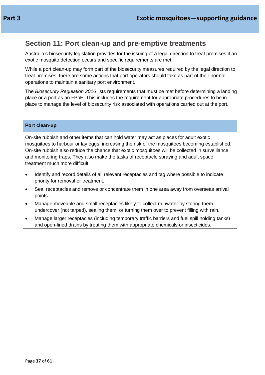### <span id="page-36-0"></span>**Section 11: Port clean-up and pre-emptive treatments**

Australia's biosecurity legislation provides for the issuing of a legal direction to treat premises if an exotic mosquito detection occurs and specific requirements are met.

While a port clean-up may form part of the biosecurity measures required by the legal direction to treat premises, there are some actions that port operators should take as part of their normal operations to maintain a sanitary port environment.

The *Biosecurity Regulation 2016* lists requirements that must be met before determining a landing place or a port as an FPoE. This includes the requirement for appropriate procedures to be in place to manage the level of biosecurity risk associated with operations carried out at the port.

#### **Port clean-up**

On-site rubbish and other items that can hold water may act as places for adult exotic mosquitoes to harbour or lay eggs, increasing the risk of the mosquitoes becoming established. On-site rubbish also reduce the chance that exotic mosquitoes will be collected in surveillance and monitoring traps. They also make the tasks of receptacle spraying and adult space treatment much more difficult.

- Identify and record details of all relevant receptacles and tag where possible to indicate priority for removal or treatment.
- Seal receptacles and remove or concentrate them in one area away from overseas arrival points.
- Manage moveable and small receptacles likely to collect rainwater by storing them undercover (not tarped), sealing them, or turning them over to prevent filling with rain.
- Manage larger receptacles (including temporary traffic barriers and fuel spill holding tanks) and open-lined drains by treating them with appropriate chemicals or insecticides.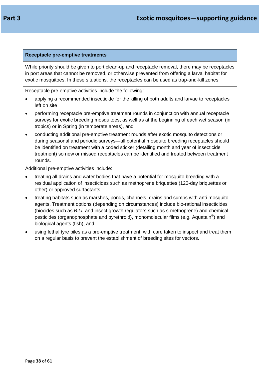### **Receptacle pre-emptive treatments**

While priority should be given to port clean-up and receptacle removal, there may be receptacles in port areas that cannot be removed, or otherwise prevented from offering a larval habitat for exotic mosquitoes. In these situations, the receptacles can be used as trap-and-kill zones.

Receptacle pre-emptive activities include the following:

- applying a recommended insecticide for the killing of both adults and larvae to receptacles left on site
- performing receptacle pre-emptive treatment rounds in conjunction with annual receptacle surveys for exotic breeding mosquitoes, as well as at the beginning of each wet season (in tropics) or in Spring (in temperate areas), and
- conducting additional pre-emptive treatment rounds after exotic mosquito detections or during seasonal and periodic surveys—all potential mosquito breeding receptacles should be identified on treatment with a coded sticker (detailing month and year of insecticide treatment) so new or missed receptacles can be identified and treated between treatment rounds.

Additional pre-emptive activities include:

- treating all drains and water bodies that have a potential for mosquito breeding with a residual application of insecticides such as methoprene briquettes (120-day briquettes or other) or approved surfactants
- treating habitats such as marshes, ponds, channels, drains and sumps with anti-mosquito agents. Treatment options (depending on circumstances) include bio-rational insecticides (biocides such as *B.t.i.* and insect growth regulators such as s-methoprene) and chemical pesticides (organophosphate and pyrethroid), monomolecular films (e.g. Aquatain®) and biological agents (fish), and
- using lethal tyre piles as a pre-emptive treatment, with care taken to inspect and treat them on a regular basis to prevent the establishment of breeding sites for vectors.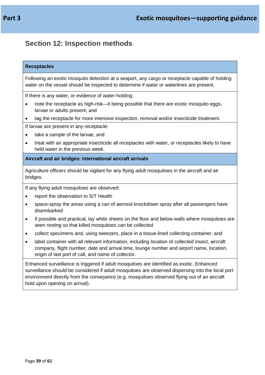### <span id="page-38-0"></span>**Section 12: Inspection methods**

#### **Receptacles**

Following an exotic mosquito detection at a seaport, any cargo or receptacle capable of holding water on the vessel should be inspected to determine if water or waterlines are present.

If there is any water, or evidence of water-holding:

- note the receptacle as high-risk—it being possible that there are exotic mosquito eggs, larvae or adults present, and
- tag the receptacle for more intensive inspection, removal and/or insecticide treatment.

If larvae are present in any receptacle:

- take a sample of the larvae, and
- treat with an appropriate insecticide all receptacles with water, or receptacles likely to have held water in the previous week.

**Aircraft and air bridges: international aircraft arrivals**

Agriculture officers should be vigilant for any flying adult mosquitoes in the aircraft and air bridges.

If any flying adult mosquitoes are observed:

- report the observation to S/T Health
- space-spray the areas using a can of aerosol knockdown spray after all passengers have disembarked
- if possible and practical, lay white sheets on the floor and below walls where mosquitoes are seen resting so that killed mosquitoes can be collected
- collect specimens and, using tweezers, place in a tissue-lined collecting container, and
- label container with all relevant information, including location of collected insect, aircraft company, flight number, date and arrival time, lounge number and airport name, location, origin of last port of call, and name of collector.

Enhanced surveillance is triggered if adult mosquitoes are identified as exotic. Enhanced surveillance should be considered if adult mosquitoes are observed dispersing into the local port environment directly from the conveyance (e.g. mosquitoes observed flying out of an aircraft hold upon opening on arrival).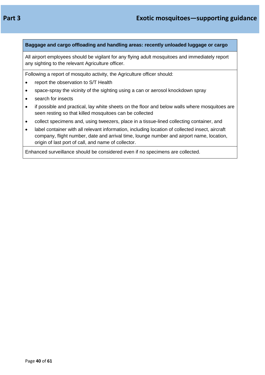#### **Baggage and cargo offloading and handling areas: recently unloaded luggage or cargo**

All airport employees should be vigilant for any flying adult mosquitoes and immediately report any sighting to the relevant Agriculture officer.

Following a report of mosquito activity, the Agriculture officer should:

- report the observation to S/T Health
- space-spray the vicinity of the sighting using a can or aerosol knockdown spray
- search for insects
- if possible and practical, lay white sheets on the floor and below walls where mosquitoes are seen resting so that killed mosquitoes can be collected
- collect specimens and, using tweezers, place in a tissue-lined collecting container, and
- label container with all relevant information, including location of collected insect, aircraft company, flight number, date and arrival time, lounge number and airport name, location, origin of last port of call, and name of collector.

Enhanced surveillance should be considered even if no specimens are collected.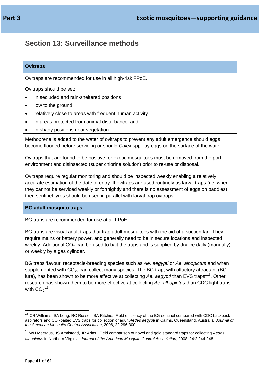### <span id="page-40-0"></span>**Section 13: Surveillance methods**

#### **Ovitraps**

Ovitraps are recommended for use in all high-risk FPoE.

Ovitraps should be set:

- in secluded and rain-sheltered positions
- low to the ground
- relatively close to areas with frequent human activity
- in areas protected from animal disturbance, and
- in shady positions near vegetation.

Methoprene is added to the water of ovitraps to prevent any adult emergence should eggs become flooded before servicing or should *Culex* spp. lay eggs on the surface of the water.

Ovitraps that are found to be positive for exotic mosquitoes must be removed from the port environment and disinsected (super chlorine solution) prior to re-use or disposal.

Ovitraps require regular monitoring and should be inspected weekly enabling a relatively accurate estimation of the date of entry. If ovitraps are used routinely as larval traps (i.e. when they cannot be serviced weekly or fortnightly and there is no assessment of eggs on paddles), then sentinel tyres should be used in parallel with larval trap ovitraps.

#### **BG adult mosquito traps**

BG traps are recommended for use at all FPoE.

BG traps are visual adult traps that trap adult mosquitoes with the aid of a suction fan. They require mains or battery power, and generally need to be in secure locations and inspected weekly. Additional  $CO<sub>2</sub>$  can be used to bait the traps and is supplied by dry ice daily (manually), or weekly by a gas cylinder.

BG traps 'favour' receptacle-breeding species such as *Ae. aegypti* or *Ae. albopictus* and when supplemented with  $CO<sub>2</sub>$ , can collect many species. The BG trap, with olfactory attractant (BGlure), has been shown to be more effective at collecting Ae. *aegypti* than EVS traps<sup>115</sup>. Other research has shown them to be more effective at collecting *Ae. albopictus* than CDC light traps with  $CO_2$ <sup>[16](#page-40-2)</sup>.

<span id="page-40-1"></span><sup>&</sup>lt;sup>15</sup> CR Williams, SA Long, RC Russell, SA Ritchie, 'Field efficiency of the BG-sentinel compared with CDC backpack aspirators and CO2-baited EVS traps for collection of adult *Aedes aegypti* in Cairns, Queensland, Australia, *Journal of the American Mosquito Control Association*, 2006, 22:296-300

<span id="page-40-2"></span><sup>16</sup> WH Meeraus, JS Armistead, JR Arias, 'Field comparison of novel and gold standard traps for collecting *Aedes albopictus* in Northern Virginia, *Journal of the American Mosquito Control Association*, 2008, 24:2:244-248.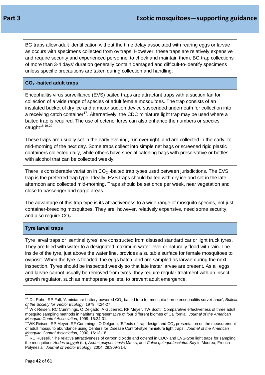BG traps allow adult identification without the time delay associated with rearing eggs or larvae as occurs with specimens collected from ovitraps. However, these traps are relatively expensive and require security and experienced personnel to check and maintain them. BG trap collections of more than 3-4 days' duration generally contain damaged and difficult-to-identify specimens unless specific precautions are taken during collection and handling.

### **CO2 -baited adult traps**

Encephalitis virus surveillance (EVS) baited traps are attractant traps with a suction fan for collection of a wide range of species of adult female mosquitoes. The trap consists of an insulated bucket of dry ice and a motor suction device suspended underneath for collection into a receiving catch container<sup>17</sup>. Alternatively, the CDC miniature light trap may be used where a baited trap is required. The use of octenol lures can also enhance the numbers or species caught  $18,19,20$  $18,19,20$  $18,19,20$  $18,19,20$ .

These traps are usually set in the early evening, run overnight, and are collected in the early- to mid-morning of the next day. Some traps collect into simple net bags or screened rigid plastic containers collected daily, while others have special catching bags with preservative or bottles with alcohol that can be collected weekly.

There is considerable variation in  $CO<sub>2</sub>$ -baited trap types used between jurisdictions. The EVS trap is the preferred trap type. Ideally, EVS traps should baited with dry ice and set in the late afternoon and collected mid-morning. Traps should be set once per week, near vegetation and close to passenger and cargo areas.

The advantage of this trap type is its attractiveness to a wide range of mosquito species, not just container-breeding mosquitoes. They are, however, relatively expensive, need some security, and also require  $CO<sub>2</sub>$ .

### **Tyre larval traps**

Tyre larval traps or 'sentinel tyres' are constructed from disused standard car or light truck tyres. They are filled with water to a designated maximum water level or naturally flood with rain. The inside of the tyre, just above the water line, provides a suitable surface for female mosquitoes to oviposit. When the tyre is flooded, the eggs hatch, and are sampled as larvae during the next inspection. Tyres should be inspected weekly so that late instar larvae are present. As all eggs and larvae cannot usually be removed from tyres, they require regular treatment with an insect growth regulator, such as methoprene pellets, to prevent adult emergence.

<span id="page-41-0"></span><sup>&</sup>lt;sup>17</sup> DL Rohe, RP Fall, 'A miniature battery powered CO<sub>2</sub>-baited trap for mosquito-borne encephalitis surveillance', *Bulletin of the Society for Vector Ecology*, 1979, 4:24-27.

<span id="page-41-1"></span><sup>&</sup>lt;sup>18</sup> WK Reisen, RC Cummings, O Delgado, A Gutierrez, RP Meyer, TW Scott, 'Comparative effectiveness of three adult mosquito sampling methods in habitats representative of four different biomes of California', *Journal of the American Mosquito Control Association*, 1999, 15:24-31.

<span id="page-41-2"></span><sup>&</sup>lt;sup>19</sup>WK Reisen, RP Mever, RF Cummings, O Delgado, 'Effects of trap design and CO<sub>2</sub> presentation on the measurement of adult mosquito abundance using Centers for Disease Control-style miniature light traps', *Journal of the American Mosquito Control Association*, 2000, 16:13-18.

<span id="page-41-3"></span> $^{20}$  RC Russell, 'The relative attractiveness of carbon dioxide and octenol in CDC- and EVS-type light traps for sampling the mosquitoes *Aedes aegypti* (L.), *Aedes polynesiensis* Marks, and *Culex quinquefasciatus* Say in Moorea, French Polynesia', *Journal of Vector Ecology*, 2004, 29:309-314.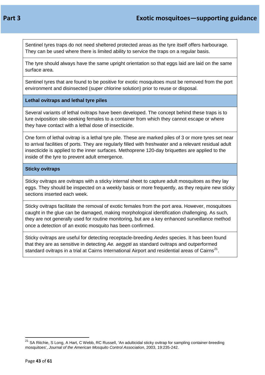Sentinel tyres traps do not need sheltered protected areas as the tyre itself offers harbourage. They can be used where there is limited ability to service the traps on a regular basis.

The tyre should always have the same upright orientation so that eggs laid are laid on the same surface area.

Sentinel tyres that are found to be positive for exotic mosquitoes must be removed from the port environment and disinsected (super chlorine solution) prior to reuse or disposal.

### **Lethal ovitraps and lethal tyre piles**

Several variants of lethal ovitraps have been developed. The concept behind these traps is to lure oviposition site-seeking females to a container from which they cannot escape or where they have contact with a lethal dose of insecticide.

One form of lethal ovitrap is a lethal tyre pile. These are marked piles of 3 or more tyres set near to arrival facilities of ports. They are regularly filled with freshwater and a relevant residual adult insecticide is applied to the inner surfaces. Methoprene 120-day briquettes are applied to the inside of the tyre to prevent adult emergence.

### **Sticky ovitraps**

Sticky ovitraps are ovitraps with a sticky internal sheet to capture adult mosquitoes as they lay eggs. They should be inspected on a weekly basis or more frequently, as they require new sticky sections inserted each week.

Sticky ovitraps facilitate the removal of exotic females from the port area. However, mosquitoes caught in the glue can be damaged, making morphological identification challenging. As such, they are not generally used for routine monitoring, but are a key enhanced surveillance method once a detection of an exotic mosquito has been confirmed.

Sticky ovitraps are useful for detecting receptacle-breeding *Aedes* species. It has been found that they are as sensitive in detecting *Ae. aegypti* as standard ovitraps and outperformed standard ovitraps in a trial at Cairns International Airport and residential areas of Cairns<sup>[21](#page-42-0)</sup>.

<span id="page-42-0"></span><sup>&</sup>lt;sup>21</sup> SA Ritchie. S Long. A Hart, C Webb, RC Russell, 'An adulticidal sticky ovitrap for sampling container-breeding mosquitoes', *Journal of the American Mosquito Control Association*, 2003, 19:235-242.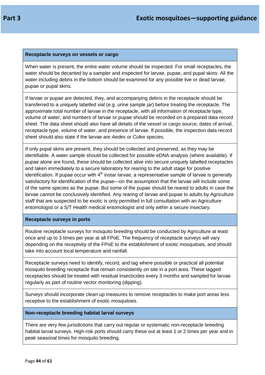#### **Receptacle surveys on vessels or cargo**

When water is present, the entire water volume should be inspected. For small receptacles, the water should be decanted by a sampler and inspected for larvae, pupae, and pupal skins. All the water including debris in the bottom should be examined for any possible live or dead larvae, pupae or pupal skins.

If larvae or pupae are detected, they, and accompanying debris in the receptacle should be transferred to a uniquely labelled vial (e.g. urine sample jar) before treating the receptacle. The approximate total number of larvae in the receptacle, with all information of receptacle type, volume of water, and numbers of larvae or pupae should be recorded on a prepared data record sheet. The data sheet should also have all details of the vessel or cargo source, dates of arrival, receptacle type, volume of water, and presence of larvae. If possible, the inspection data record sheet should also state if the larvae are *Aedes* or *Culex* species.

If only pupal skins are present, they should be collected and preserved, as they may be identifiable. A water sample should be collected for possible eDNA analysis (where available). If pupae alone are found, these should be collected alive into secure uniquely labelled receptacles and taken immediately to a secure laboratory for rearing to the adult stage for positive identification. If pupae occur with  $4<sup>th</sup>$  instar larvae, a representative sample of larvae is generally satisfactory for identification of the pupae—on the assumption that the larvae will include some of the same species as the pupae. But some of the pupae should be reared to adults in case the larvae cannot be conclusively identified. Any rearing of larvae and pupae to adults by Agriculture staff that are suspected to be exotic is only permitted in full consultation with an Agriculture entomologist or a S/T Health medical entomologist and only within a secure insectary.

#### **Receptacle surveys in ports**

Routine receptacle surveys for mosquito breeding should be conducted by Agriculture at least once and up to 3 times per year at all FPoE. The frequency of receptacle surveys will vary depending on the receptivity of the FPoE to the establishment of exotic mosquitoes, and should take into account local temperature and rainfall.

Receptacle surveys need to identify, record, and tag where possible or practical all potential mosquito breeding receptacle that remain consistently on site in a port area. These tagged receptacles should be treated with residual insecticides every 3 months and sampled for larvae regularly as part of routine vector monitoring (dipping).

Surveys should incorporate clean-up measures to remove receptacles to make port areas less receptive to the establishment of exotic mosquitoes.

#### **Non-receptacle breeding habitat larval surveys**

There are very few jurisdictions that carry out regular or systematic non-receptacle breeding habitat larval surveys. High-risk ports should carry these out at least 1 or 2 times per year and in peak seasonal times for mosquito breeding.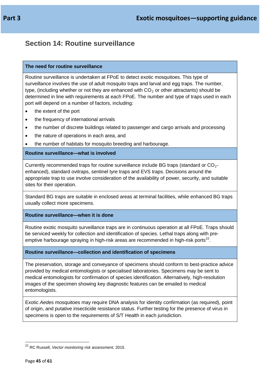### <span id="page-44-0"></span>**Section 14: Routine surveillance**

#### **The need for routine surveillance**

Routine surveillance is undertaken at FPoE to detect exotic mosquitoes. This type of surveillance involves the use of adult mosquito traps and larval and egg traps. The number, type, (including whether or not they are enhanced with  $CO<sub>2</sub>$  or other attractants) should be determined in line with requirements at each FPoE. The number and type of traps used in each port will depend on a number of factors, including:

- the extent of the port
- the frequency of international arrivals
- the number of discrete buildings related to passenger and cargo arrivals and processing
- the nature of operations in each area, and
- the number of habitats for mosquito breeding and harbourage.

### **Routine surveillance—what is involved**

Currently recommended traps for routine surveillance include BG traps (standard or  $CO<sub>2</sub>$ enhanced), standard ovitraps, sentinel tyre traps and EVS traps. Decisions around the appropriate trap to use involve consideration of the availability of power, security, and suitable sites for their operation.

Standard BG traps are suitable in enclosed areas at terminal facilities, while enhanced BG traps usually collect more specimens.

#### **Routine surveillance—when it is done**

Routine exotic mosquito surveillance traps are in continuous operation at all FPoE. Traps should be serviced weekly for collection and identification of species. Lethal traps along with pre-emptive harbourage spraying in high-risk areas are recommended in high-risk ports<sup>[22](#page-44-1)</sup>.

#### **Routine surveillance—collection and identification of specimens**

The preservation, storage and conveyance of specimens should conform to best-practice advice provided by medical entomologists or specialised laboratories. Specimens may be sent to medical entomologists for confirmation of species identification. Alternatively, high-resolution images of the specimen showing key diagnostic features can be emailed to medical entomologists.

Exotic *Aedes* mosquitoes may require DNA analysis for identity confirmation (as required), point of origin, and putative insecticide resistance status. Further testing for the presence of virus in specimens is open to the requirements of S/T Health in each jurisdiction.

<span id="page-44-1"></span><sup>22</sup> RC Russell, *Vector monitoring risk assessment,* 2015.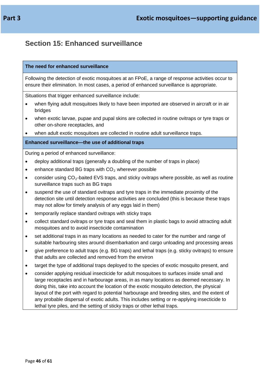### <span id="page-45-0"></span>**Section 15: Enhanced surveillance**

#### **The need for enhanced surveillance**

Following the detection of exotic mosquitoes at an FPoE, a range of response activities occur to ensure their elimination. In most cases, a period of enhanced surveillance is appropriate.

Situations that trigger enhanced surveillance include:

- when flying adult mosquitoes likely to have been imported are observed in aircraft or in air bridges
- when exotic larvae, pupae and pupal skins are collected in routine ovitraps or tyre traps or other on-shore receptacles, and
- when adult exotic mosquitoes are collected in routine adult surveillance traps.

#### **Enhanced surveillance—the use of additional traps**

During a period of enhanced surveillance:

- deploy additional traps (generally a doubling of the number of traps in place)
- enhance standard BG traps with  $CO<sub>2</sub>$  wherever possible
- consider using  $CO_2$ -baited EVS traps, and sticky ovitraps where possible, as well as routine surveillance traps such as BG traps
- suspend the use of standard ovitraps and tyre traps in the immediate proximity of the detection site until detection response activities are concluded (this is because these traps may not allow for timely analysis of any eggs laid in them)
- temporarily replace standard ovitraps with sticky traps
- collect standard ovitraps or tyre traps and seal them in plastic bags to avoid attracting adult mosquitoes and to avoid insecticide contamination
- set additional traps in as many locations as needed to cater for the number and range of suitable harbouring sites around disembarkation and cargo unloading and processing areas
- give preference to adult traps (e.g. BG traps) and lethal traps (e.g. sticky ovitraps) to ensure that adults are collected and removed from the environ
- target the type of additional traps deployed to the species of exotic mosquito present, and
- consider applying residual insecticide for adult mosquitoes to surfaces inside small and large receptacles and in harbourage areas, in as many locations as deemed necessary. In doing this, take into account the location of the exotic mosquito detection, the physical layout of the port with regard to potential harbourage and breeding sites, and the extent of any probable dispersal of exotic adults. This includes setting or re-applying insecticide to lethal tyre piles, and the setting of sticky traps or other lethal traps.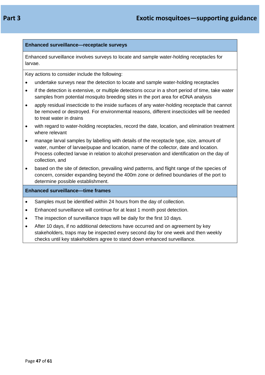### **Enhanced surveillance—receptacle surveys**

Enhanced surveillance involves surveys to locate and sample water-holding receptacles for larvae.

Key actions to consider include the following:

- undertake surveys near the detection to locate and sample water-holding receptacles
- if the detection is extensive, or multiple detections occur in a short period of time, take water samples from potential mosquito breeding sites in the port area for eDNA analysis
- apply residual insecticide to the inside surfaces of any water-holding receptacle that cannot be removed or destroyed. For environmental reasons, different insecticides will be needed to treat water in drains
- with regard to water-holding receptacles, record the date, location, and elimination treatment where relevant
- manage larval samples by labelling with details of the receptacle type, size, amount of water, number of larvae/pupae and location, name of the collector, date and location. Process collected larvae in relation to alcohol preservation and identification on the day of collection, and
- based on the site of detection, prevailing wind patterns, and flight range of the species of concern, consider expanding beyond the 400m zone or defined boundaries of the port to determine possible establishment.

### **Enhanced surveillance—time frames**

- Samples must be identified within 24 hours from the day of collection.
- Enhanced surveillance will continue for at least 1 month post detection.
- The inspection of surveillance traps will be daily for the first 10 days.
- After 10 days, if no additional detections have occurred and on agreement by key stakeholders, traps may be inspected every second day for one week and then weekly checks until key stakeholders agree to stand down enhanced surveillance.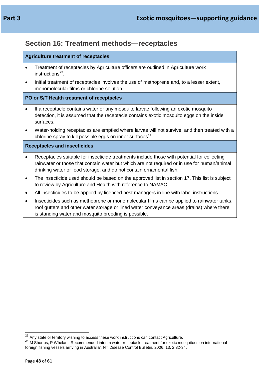### <span id="page-47-0"></span>**Section 16: Treatment methods—receptacles**

### **Agriculture treatment of receptacles**

- Treatment of receptacles by Agriculture officers are outlined in Agriculture work  $in$ structions<sup>23</sup>.
- Initial treatment of receptacles involves the use of methoprene and, to a lesser extent, monomolecular films or chlorine solution.

### **PO or S/T Health treatment of receptacles**

- If a receptacle contains water or any mosquito larvae following an exotic mosquito detection, it is assumed that the receptacle contains exotic mosquito eggs on the inside surfaces.
- Water-holding receptacles are emptied where larvae will not survive, and then treated with a chlorine spray to kill possible eggs on inner surfaces $24$ .

### **Receptacles and insecticides**

- Receptacles suitable for insecticide treatments include those with potential for collecting rainwater or those that contain water but which are not required or in use for human/animal drinking water or food storage, and do not contain ornamental fish.
- The insecticide used should be based on the approved list in section 17. This list is subject to review by Agriculture and Health with reference to NAMAC.
- All insecticides to be applied by licenced pest managers in line with label instructions.
- Insecticides such as methoprene or monomolecular films can be applied to rainwater tanks, roof gutters and other water storage or lined water conveyance areas (drains) where there is standing water and mosquito breeding is possible.

<span id="page-47-2"></span>

<span id="page-47-1"></span><sup>&</sup>lt;sup>23</sup> Any state or territory wishing to access these work instructions can contact Agriculture.<br><sup>24</sup> M Shortus. P Whelan, 'Recommended interim water receptacle treatment for exotic mosquitoes on international foreign fishing vessels arriving in Australia', NT Disease Control Bulletin, 2006, 13, 2:32-34.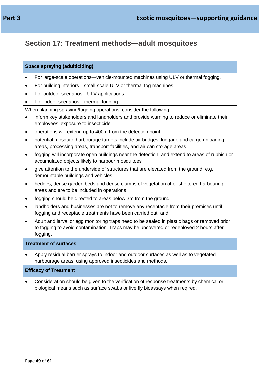## <span id="page-48-0"></span>**Section 17: Treatment methods—adult mosquitoes**

### **Space spraying (adulticiding)**

- For large-scale operations—vehicle-mounted machines using ULV or thermal fogging.
- For building interiors—small-scale ULV or thermal fog machines.
- For outdoor scenarios—ULV applications.
- For indoor scenarios—thermal fogging.

When planning spraying/fogging operations, consider the following:

- inform key stakeholders and landholders and provide warning to reduce or eliminate their employees' exposure to insecticide
- operations will extend up to 400m from the detection point
- potential mosquito harbourage targets include air bridges, luggage and cargo unloading areas, processing areas, transport facilities, and air can storage areas
- fogging will incorporate open buildings near the detection, and extend to areas of rubbish or accumulated objects likely to harbour mosquitoes
- give attention to the underside of structures that are elevated from the ground, e.g. demountable buildings and vehicles
- hedges, dense garden beds and dense clumps of vegetation offer sheltered harbouring areas and are to be included in operations
- fogging should be directed to areas below 3m from the ground
- landholders and businesses are not to remove any receptacle from their premises until fogging and receptacle treatments have been carried out, and
- Adult and larval or egg monitoring traps need to be sealed in plastic bags or removed prior to fogging to avoid contamination. Traps may be uncovered or redeployed 2 hours after fogging.

### **Treatment of surfaces**

• Apply residual barrier sprays to indoor and outdoor surfaces as well as to vegetated harbourage areas, using approved insecticides and methods.

### **Efficacy of Treatment**

• Consideration should be given to the verification of response treatments by chemical or biological means such as surface swabs or live fly bioassays when reqired.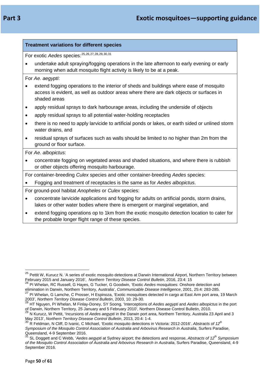| . . | п |  |
|-----|---|--|
|-----|---|--|

| <b>Treatment variations for different species</b>    |                                                                                                                                                                                                    |  |  |  |  |  |
|------------------------------------------------------|----------------------------------------------------------------------------------------------------------------------------------------------------------------------------------------------------|--|--|--|--|--|
| For exotic Aedes species: 25, 26, 27, 28, 29, 30, 31 |                                                                                                                                                                                                    |  |  |  |  |  |
|                                                      | undertake adult spraying/fogging operations in the late afternoon to early evening or early<br>morning when adult mosquito flight activity is likely to be at a peak.                              |  |  |  |  |  |
|                                                      | For Ae. aegypti:                                                                                                                                                                                   |  |  |  |  |  |
|                                                      | extend fogging operations to the interior of sheds and buildings where ease of mosquito<br>access is evident, as well as outdoor areas where there are dark objects or surfaces in<br>shaded areas |  |  |  |  |  |
|                                                      | apply residual sprays to dark harbourage areas, including the underside of objects                                                                                                                 |  |  |  |  |  |
| ٠                                                    | apply residual sprays to all potential water-holding receptacles                                                                                                                                   |  |  |  |  |  |
| $\bullet$                                            | there is no need to apply larvicide to artificial ponds or lakes, or earth sided or unlined storm<br>water drains, and                                                                             |  |  |  |  |  |
| $\bullet$                                            | residual sprays of surfaces such as walls should be limited to no higher than 2m from the<br>ground or floor surface.                                                                              |  |  |  |  |  |
|                                                      | For Ae. albopictus:                                                                                                                                                                                |  |  |  |  |  |
|                                                      | concentrate fogging on vegetated areas and shaded situations, and where there is rubbish<br>or other objects offering mosquito harbourage.                                                         |  |  |  |  |  |
|                                                      | For container-breeding Culex species and other container-breeding Aedes species:                                                                                                                   |  |  |  |  |  |
|                                                      | Fogging and treatment of receptacles is the same as for Aedes albopictus.                                                                                                                          |  |  |  |  |  |
|                                                      | For ground-pool habitat Anopheles or Culex species:                                                                                                                                                |  |  |  |  |  |
|                                                      | concentrate larvicide applications and fogging for adults on artificial ponds, storm drains,<br>lakes or other water bodies where there is emergent or marginal vegetation, and                    |  |  |  |  |  |
| $\bullet$                                            | extend fogging operations op to 1km from the exotic mosquito detection location to cater for<br>the probable longer flight range of these species.                                                 |  |  |  |  |  |

<span id="page-49-0"></span><sup>&</sup>lt;sup>25</sup> Pettit W, Kurucz N. 'A series of exotic mosquito detections at Darwin International Airport, Northern Territory between February 2015 and January 2016', *Northern Territory Disease Control Bulletin*, 2016, 23:4: 15

<span id="page-49-1"></span><sup>26</sup> PI Whelan, RC Russell, G Hayes, G Tucker, G Goodwin, 'Exotic *Aedes* mosquitoes: Onshore detection and elimination in Darwin, Northern Territory, Australia', *Communicable Disease Intelligence*, 2001, 25:4: 283-285.

<span id="page-49-2"></span><sup>&</sup>lt;sup>27</sup> PI Whelan, G Lamche, C Prosser, H Espinoza, 'Exotic mosquitoes detected in cargo at East Arm port area, 19 March 2003', *Northern Territory Disease Control Bulletin*, 2003, 10: 29-30.

<span id="page-49-3"></span><sup>28</sup> HT Nguyen, PI Whelan, M Finlay-Doney, SY Soong, 'Interceptions of *Aedes aegypti* and *Aedes albopictus* in the port of Darwin, Northern Territory, 25 January and 5 February 2010', Northern Disease Control Bulletin, 2010.

<span id="page-49-4"></span><sup>29</sup> N Kurucz, W Pettit, 'Incursions of *Aedes aegypti* in the Darwin port area, Northern Territory, Australia 23 April and 3 May 2013', *Northern Territory Disease Control Bulletin*, 2013, 20:4: 1-4.

<span id="page-49-5"></span><sup>30</sup> R Feldman, N Cliff, D Ivanic, C Michael, 'Exotic mosquito detections in Victoria: 2012-2016'. *Abstracts of 12th Symposium of the Mosquito Control Association of Australia and Arbovirus Research in Australia*, Surfers Paradise,<br>Queensland, 4-9 September 2016.<br><sup>31</sup> SL Docsett and C.Wabb *if a strate and the setting* 

<span id="page-49-6"></span>SL Doggett and C Webb, '*Aedes aegypti* at Sydney airport; the detections and response, *Abstracts of 12<sup>th</sup> Symposium of the Mosquito Control Association of Australia and Arbovirus Research in Australia*, Surfers Paradise, Queensland, 4-9 September 2016.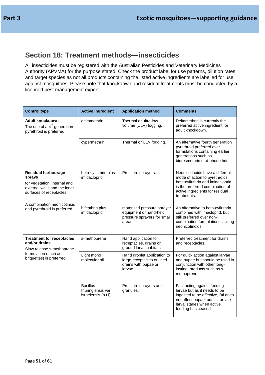### <span id="page-50-0"></span>**Section 18: Treatment methods—insecticides**

All insecticides must be registered with the Australian Pesticides and Veterinary Medicines Authority (APVMA) for the purpose stated. Check the product label for use patterns, dilution rates and target species as not all products containing the listed active ingredients are labelled for use against mosquitoes. Please note that knockdown and residual treatments must be conducted by a licenced pest management expert.

| <b>Control type</b>                                                                                                              | <b>Active ingredient</b>                                     | <b>Application method</b>                                                                     | <b>Comments</b>                                                                                                                                                                            |  |
|----------------------------------------------------------------------------------------------------------------------------------|--------------------------------------------------------------|-----------------------------------------------------------------------------------------------|--------------------------------------------------------------------------------------------------------------------------------------------------------------------------------------------|--|
| Adult knockdown<br>The use of a $4th$ generation<br>pyrethroid is preferred.                                                     | deltamethrin                                                 | Thermal or ultra-low<br>volume (ULV) fogging.                                                 | Deltamethrin is currently the<br>preferred active ingredient for<br>adult knockdown.                                                                                                       |  |
|                                                                                                                                  | cypermethrin                                                 | Thermal or ULV fogging.                                                                       | An alternative fourth generation<br>pyrethroid preferred over<br>formulations containing earlier<br>generations such as<br>bioresmethrin or d-phenothrin.                                  |  |
| <b>Residual harbourage</b><br>sprays<br>for vegetation, internal and<br>external walls and the inner<br>surfaces of receptacles. | beta-cyfluthrin plus<br>imidacloprid                         | Pressure sprayers.                                                                            | Neonicotinoids have a different<br>mode of action to pyrethroids.<br>beta-cyfluthrin and imidacloprid<br>is the preferred combination of<br>active ingredients for residual<br>treatments. |  |
| A combination neonicotinoid<br>and pyrethroid is preferred.                                                                      | bifenthrin plus<br>imidacloprid                              | motorised pressure sprayer<br>equipment or hand-held<br>pressure sprayers for small<br>areas. | An alternative to beta-cyfluthrin<br>combined with imacloprid, but<br>still preferred over non-<br>combination formulations lacking<br>neonicotinoids.                                     |  |
| <b>Treatment for receptacles</b><br>and/or drains<br>Slow release s-methoprene                                                   | s-methoprene                                                 | Hand application to<br>receptacles, drains or<br>ground larval habitats.                      | Preferred treatment for drains<br>and receptacles.                                                                                                                                         |  |
| formulation (such as<br>briquettes) is preferred.                                                                                | Light mono<br>molecular oil                                  | Hand droplet application to<br>large receptacles or lined<br>drains with pupae or<br>larvae.  | For quick action against larvae<br>and pupae but should be used in<br>conjunction with other long-<br>lasting products such as s-<br>methoprene.                                           |  |
|                                                                                                                                  | <b>Bacillus</b><br>thuringiensis var.<br>israelensis (b.t.i) | Pressure sprayers and<br>granules.                                                            | Fast acting against feeding<br>larvae but as it needs to be<br>ingested to be effective, Bti does<br>not affect pupae, adults, or late<br>larval stages when active<br>feeding has ceased. |  |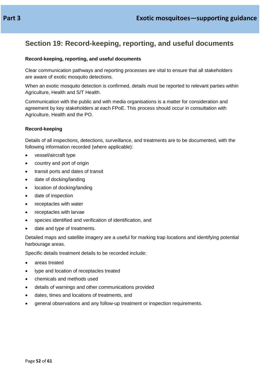### <span id="page-51-0"></span>**Section 19: Record-keeping, reporting, and useful documents**

### **Record-keeping, reporting, and useful documents**

Clear communication pathways and reporting processes are vital to ensure that all stakeholders are aware of exotic mosquito detections.

When an exotic mosquito detection is confirmed, details must be reported to relevant parties within Agriculture, Health and S/T Health.

Communication with the public and with media organisations is a matter for consideration and agreement by key stakeholders at each FPoE. This process should occur in consultation with Agriculture, Health and the PO.

#### **Record-keeping**

Details of all inspections, detections, surveillance, and treatments are to be documented, with the following information recorded (where applicable):

- vessel/aircraft type
- country and port of origin
- transit ports and dates of transit
- date of docking/landing
- location of docking/landing
- date of inspection
- receptacles with water
- receptacles with larvae
- species identified and verification of identification, and
- date and type of treatments.

Detailed maps and satellite imagery are a useful for marking trap locations and identifying potential harbourage areas.

Specific details treatment details to be recorded include:

- areas treated
- type and location of receptacles treated
- chemicals and methods used
- details of warnings and other communications provided
- dates, times and locations of treatments, and
- general observations and any follow-up treatment or inspection requirements.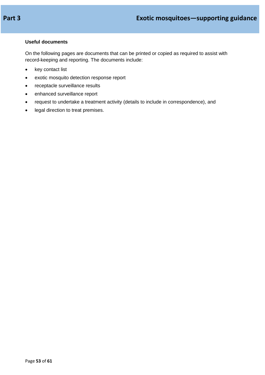### **Useful documents**

On the following pages are documents that can be printed or copied as required to assist with record-keeping and reporting. The documents include:

- key contact list
- exotic mosquito detection response report
- receptacle surveillance results
- enhanced surveillance report
- request to undertake a treatment activity (details to include in correspondence), and
- legal direction to treat premises.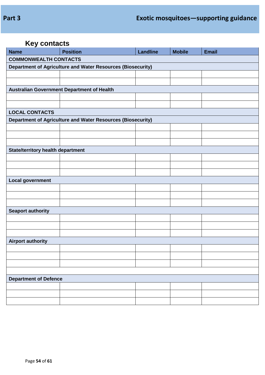## **Key contacts**

| <b>Name</b>                                                 | <b>Position</b>                                             | <b>Landline</b> | <b>Mobile</b> | <b>Email</b> |  |  |  |  |
|-------------------------------------------------------------|-------------------------------------------------------------|-----------------|---------------|--------------|--|--|--|--|
| <b>COMMONWEALTH CONTACTS</b>                                |                                                             |                 |               |              |  |  |  |  |
| Department of Agriculture and Water Resources (Biosecurity) |                                                             |                 |               |              |  |  |  |  |
|                                                             |                                                             |                 |               |              |  |  |  |  |
|                                                             |                                                             |                 |               |              |  |  |  |  |
|                                                             | Australian Government Department of Health                  |                 |               |              |  |  |  |  |
|                                                             |                                                             |                 |               |              |  |  |  |  |
|                                                             |                                                             |                 |               |              |  |  |  |  |
| <b>LOCAL CONTACTS</b>                                       |                                                             |                 |               |              |  |  |  |  |
|                                                             | Department of Agriculture and Water Resources (Biosecurity) |                 |               |              |  |  |  |  |
|                                                             |                                                             |                 |               |              |  |  |  |  |
|                                                             |                                                             |                 |               |              |  |  |  |  |
|                                                             |                                                             |                 |               |              |  |  |  |  |
| <b>State/territory health department</b>                    |                                                             |                 |               |              |  |  |  |  |
|                                                             |                                                             |                 |               |              |  |  |  |  |
|                                                             |                                                             |                 |               |              |  |  |  |  |
|                                                             |                                                             |                 |               |              |  |  |  |  |
| <b>Local government</b>                                     |                                                             |                 |               |              |  |  |  |  |
|                                                             |                                                             |                 |               |              |  |  |  |  |
|                                                             |                                                             |                 |               |              |  |  |  |  |
|                                                             |                                                             |                 |               |              |  |  |  |  |
| <b>Seaport authority</b>                                    |                                                             |                 |               |              |  |  |  |  |
|                                                             |                                                             |                 |               |              |  |  |  |  |
|                                                             |                                                             |                 |               |              |  |  |  |  |
|                                                             |                                                             |                 |               |              |  |  |  |  |
| <b>Airport authority</b>                                    |                                                             |                 |               |              |  |  |  |  |
|                                                             |                                                             |                 |               |              |  |  |  |  |
|                                                             |                                                             |                 |               |              |  |  |  |  |
|                                                             |                                                             |                 |               |              |  |  |  |  |
|                                                             |                                                             |                 |               |              |  |  |  |  |
| <b>Department of Defence</b>                                |                                                             |                 |               |              |  |  |  |  |
|                                                             |                                                             |                 |               |              |  |  |  |  |
|                                                             |                                                             |                 |               |              |  |  |  |  |
|                                                             |                                                             |                 |               |              |  |  |  |  |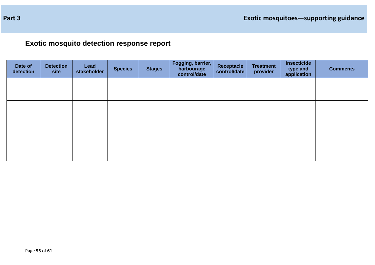**Exotic mosquito detection response report**

| Date of<br>detection | <b>Detection</b><br>site | Lead<br>stakeholder | <b>Species</b> | <b>Stages</b> | Fogging, barrier,<br>harbourage<br>control/date | Receptacle<br>control/date | <b>Treatment</b><br>provider | Insecticide<br>type and<br>application | <b>Comments</b> |
|----------------------|--------------------------|---------------------|----------------|---------------|-------------------------------------------------|----------------------------|------------------------------|----------------------------------------|-----------------|
|                      |                          |                     |                |               |                                                 |                            |                              |                                        |                 |
|                      |                          |                     |                |               |                                                 |                            |                              |                                        |                 |
|                      |                          |                     |                |               |                                                 |                            |                              |                                        |                 |
|                      |                          |                     |                |               |                                                 |                            |                              |                                        |                 |
|                      |                          |                     |                |               |                                                 |                            |                              |                                        |                 |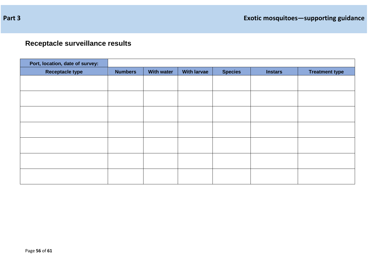# **Receptacle surveillance results**

| Port, location, date of survey: |                |                   |                    |                |                |                       |
|---------------------------------|----------------|-------------------|--------------------|----------------|----------------|-----------------------|
| <b>Receptacle type</b>          | <b>Numbers</b> | <b>With water</b> | <b>With larvae</b> | <b>Species</b> | <b>Instars</b> | <b>Treatment type</b> |
|                                 |                |                   |                    |                |                |                       |
|                                 |                |                   |                    |                |                |                       |
|                                 |                |                   |                    |                |                |                       |
|                                 |                |                   |                    |                |                |                       |
|                                 |                |                   |                    |                |                |                       |
|                                 |                |                   |                    |                |                |                       |
|                                 |                |                   |                    |                |                |                       |
|                                 |                |                   |                    |                |                |                       |
|                                 |                |                   |                    |                |                |                       |
|                                 |                |                   |                    |                |                |                       |
|                                 |                |                   |                    |                |                |                       |
|                                 |                |                   |                    |                |                |                       |
|                                 |                |                   |                    |                |                |                       |
|                                 |                |                   |                    |                |                |                       |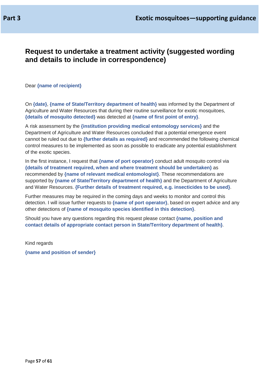### **Request to undertake a treatment activity (suggested wording and details to include in correspondence)**

Dear **{name of recipient}**

On **{date}**, **{name of State/Territory department of health}** was informed by the Department of Agriculture and Water Resources that during their routine surveillance for exotic mosquitoes, **{details of mosquito detected}** was detected at **{name of first point of entry}**.

A risk assessment by the **{institution providing medical entomology services}** and the Department of Agriculture and Water Resources concluded that a potential emergence event cannot be ruled out due to **{further details as required}** and recommended the following chemical control measures to be implemented as soon as possible to eradicate any potential establishment of the exotic species.

In the first instance, I request that **{name of port operator}** conduct adult mosquito control via **{details of treatment required, when and where treatment should be undertaken}** as recommended by **{name of relevant medical entomologist}**. These recommendations are supported by **{name of State/Territory department of health}** and the Department of Agriculture and Water Resources. **{Further details of treatment required, e.g. insecticides to be used}**.

Further measures may be required in the coming days and weeks to monitor and control this detection. I will issue further requests to **{name of port operator}**, based on expert advice and any other detections of **{name of mosquito species identified in this detection}**.

Should you have any questions regarding this request please contact **{name, position and contact details of appropriate contact person in State/Territory department of health}**.

Kind regards **{name and position of sender}**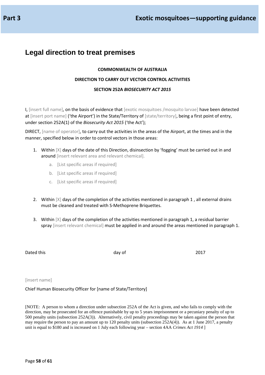### **Legal direction to treat premises**

#### **COMMONWEALTH OF AUSTRALIA**

#### **DIRECTION TO CARRY OUT VECTOR CONTROL ACTIVITIES**

#### **SECTION 252A** *BIOSECURITY ACT 2015*

I, [insert full name], on the basis of evidence that [exotic mosquitoes /mosquito larvae] have been detected at linsert port name] ('the Airport') in the State/Territory of [state/territory], being a first point of entry, under section 252A(1) of the *Biosecurity Act 2015* ('the Act');

DIRECT, [name of operator], to carry out the activities in the areas of the Airport, at the times and in the manner, specified below in order to control vectors in those areas:

- 1. Within  $[X]$  days of the date of this Direction, disinsection by 'fogging' must be carried out in and around [insert relevant area and relevant chemical].
	- a. [List specific areas if required]
	- b. [List specific areas if required]
	- c. [List specific areas if required]
- 2. Within [X] days of the completion of the activities mentioned in paragraph 1 , all external drains must be cleaned and treated with S-Methoprene Briquettes.
- 3. Within  $[X]$  days of the completion of the activities mentioned in paragraph 1, a residual barrier spray [insert relevant chemical] must be applied in and around the areas mentioned in paragraph 1.

Dated this and a control of the control of the 2017 and the 2017

#### [insert name]

Chief Human Biosecurity Officer for [name of State/Territory]

[NOTE: A person to whom a direction under subsection 252A of the Act is given, and who fails to comply with the direction, may be prosecuted for an offence punishable by up to 5 years imprisonment or a pecuniary penalty of up to 500 penalty units (subsection 252A(3)). Alternatively, civil penalty proceedings may be taken against the person that may require the person to pay an amount up to 120 penalty units (subsection 252A(4)). As at 1 June 2017, a penalty unit is equal to \$180 and is increased on 1 July each following year – section 4AA *Crimes Act 1914* ]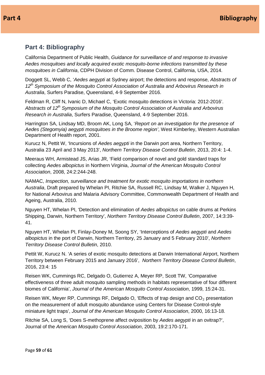### <span id="page-58-0"></span>**Part 4: Bibliography**

California Department of Public Health, *Guidance for surveillance of and response to invasive Aedes mosquitoes and locally acquired exotic mosquito-borne infections transmitted by these mosquitoes in California*, CDPH Division of Comm. Disease Control, California, USA, 2014.

Doggett SL, Webb C, '*Aedes aegypti* at Sydney airport; the detections and response, *Abstracts of 12th Symposium of the Mosquito Control Association of Australia and Arbovirus Research in Australia*, Surfers Paradise, Queensland, 4-9 September 2016.

Feldman R, Cliff N, Ivanic D, Michael C, 'Exotic mosquito detections in Victoria: 2012-2016'. *Abstracts of 12th Symposium of the Mosquito Control Association of Australia and Arbovirus Research in Australia*, Surfers Paradise, Queensland, 4-9 September 2016.

Harrington SA, Lindsay MD, Broom AK, Long SA, '*Report on an investigation for the presence of Aedes (Stegomyia) aegypti mosquitoes in the Broome region'*, West Kimberley, Western Australian Department of Health report, 2001.

Kurucz N, Pettit W, 'Incursions of *Aedes aegypti* in the Darwin port area, Northern Territory, Australia 23 April and 3 May 2013', *Northern Territory Disease Control Bulletin*, 2013, 20:4: 1-4.

Meeraus WH, Armistead JS, Arias JR, 'Field comparison of novel and gold standard traps for collecting *Aedes albopictus* in Northern Virginia, *Journal of the American Mosquito Control Association*, 2008, 24:2:244-248.

NAMAC, *Inspection, surveillance and treatment for exotic mosquito importations in northern Australia*, Draft prepared by Whelan PI, Ritchie SA, Russell RC, Lindsay M, Walker J, Nguyen H, for National Arbovirus and Malaria Advisory Committee, Commonwealth Department of Health and Ageing, Australia, 2010.

Nguyen HT, Whelan PI, 'Detection and elimination of *Aedes albopictus* on cable drums at Perkins Shipping, Darwin, Northern Territory', *Northern Territory Disease Control Bulletin*, 2007, 14:3:39- 41.

Nguyen HT, Whelan PI, Finlay-Doney M, Soong SY, 'Interceptions of *Aedes aegypti* and *Aedes albopictus* in the port of Darwin, Northern Territory, 25 January and 5 February 2010', *Northern Territory Disease Control Bulletin*, 2010.

Pettit W, Kurucz N. 'A series of exotic mosquito detections at Darwin International Airport, Northern Territory between February 2015 and January 2016', *Northern Territory Disease Control Bulletin*, 2016, 23:4: 15

Reisen WK, Cummings RC, Delgado O, Gutierrez A, Meyer RP, Scott TW, 'Comparative effectiveness of three adult mosquito sampling methods in habitats representative of four different biomes of California', *Journal of the American Mosquito Control Association*, 1999, 15:24-31.

Reisen WK, Meyer RP, Cummings RF, Delgado O, 'Effects of trap design and  $CO<sub>2</sub>$  presentation on the measurement of adult mosquito abundance using Centers for Disease Control-style miniature light traps', *Journal of the American Mosquito Control Association*, 2000, 16:13-18.

Ritchie SA, Long S, 'Does S-methoprene affect oviposition by *Aedes aegypti* in an ovitrap?', Journal of the *American Mosquito Control Association*, 2003, 19:2:170-171.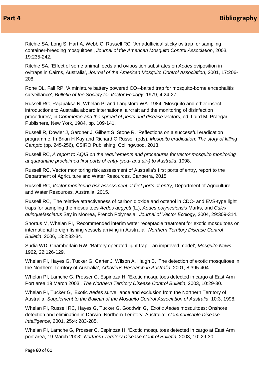Ritchie SA, Long S, Hart A, Webb C, Russell RC, 'An adulticidal sticky ovitrap for sampling container-breeding mosquitoes', *Journal of the American Mosquito Control Association*, 2003, 19:235-242.

Ritchie SA, 'Effect of some animal feeds and oviposition substrates on *Aedes* oviposition in ovitraps in Cairns, Australia', *Journal of the American Mosquito Control Association*, 2001, 17:206- 208.

Rohe DL, Fall RP, 'A miniature battery powered  $CO<sub>2</sub>$ -baited trap for mosquito-borne encephalitis surveillance', *Bulletin of the Society for Vector Ecology*, 1979, 4:24-27.

Russell RC*,* Rajapaksa N, Whelan PI and Langsford WA. 1984. 'Mosquito and other insect introductions to Australia aboard international aircraft and the monitoring of disinfection procedures', in *Commerce and the spread of pests and disease vectors*, ed. Laird M, Praegar Publishers*,* New York, 1984, pp. 109-141.

Russell R, Dowler J, Gardner J, Gilbert S, Stone R, 'Reflections on a successful eradication programme. In Brian H Kay and Richard C Russell (eds), *Mosquito eradication: The story of killing Campto* (pp. 245-256), CSIRO Publishing, Collingwood, 2013.

Russell RC, *A report to AQIS on the requirements and procedures for vector mosquito monitoring at quarantine proclaimed first ports of entry (sea- and air-) to Australia*, 1998.

Russell RC, Vector monitoring risk assessment of Australia's first ports of entry, report to the Department of Agriculture and Water Resources, Canberra, 2015.

Russell RC, *Vector monitoring risk assessment of first ports of entry*, Department of Agriculture and Water Resources, Australia, 2015.

Russell RC, 'The relative attractiveness of carbon dioxide and octenol in CDC- and EVS-type light traps for sampling the mosquitoes *Aedes aegypti* (L.), *Aedes polynesiensis* Marks, and *Culex quinquefasciatus* Say in Moorea, French Polynesia', *Journal of Vector Ecology*, 2004, 29:309-314.

Shortus M, Whelan PI, 'Recommended interim water receptacle treatment for exotic mosquitoes on international foreign fishing vessels arriving in Australia', *Northern Territory Disease Control Bulletin*, 2006, 13:2:32-34.

Sudia WD, Chamberlain RW, 'Battery operated light trap—an improved model', *Mosquito News*, 1962, 22:126-129.

Whelan PI, Hayes G, Tucker G, Carter J, Wilson A, Haigh B, 'The detection of exotic mosquitoes in the Northern Territory of Australia', *Arbovirus Research in Australia*, 2001, 8:395-404.

Whelan PI, Lamche G, Prosser C, Espinoza H, 'Exotic mosquitoes detected in cargo at East Arm Port area 19 March 2003', *The Northern Territory Disease Control Bulletin*, 2003, 10:29-30.

Whelan PI, Tucker G, 'Exotic *Aedes* surveillance and exclusion from the Northern Territory of Australia, *Supplement to the Bulletin of the Mosquito Control Association of Australia*, 10:3, 1998.

Whelan PI, Russell RC, Hayes G, Tucker G, Goodwin G, 'Exotic *Aedes* mosquitoes: Onshore detection and elimination in Darwin, Northern Territory, Australia', *Communicable Disease Intelligence*, 2001, 25:4: 283-285.

Whelan PI, Lamche G, Prosser C, Espinoza H, 'Exotic mosquitoes detected in cargo at East Arm port area, 19 March 2003', *Northern Territory Disease Control Bulletin*, 2003, 10: 29-30.